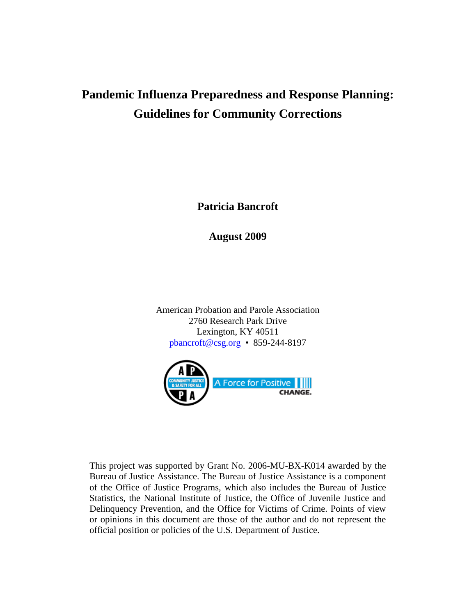# **Pandemic Influenza Preparedness and Response Planning: Guidelines for Community Corrections**

**Patricia Bancroft**

**August 2009**

American Probation and Parole Association 2760 Research Park Drive Lexington, KY 40511 [pbancroft@csg.org](mailto:pbancroft@csg.org) • 859-244-8197



This project was supported by Grant No. 2006-MU-BX-K014 awarded by the Bureau of Justice Assistance. The Bureau of Justice Assistance is a component of the Office of Justice Programs, which also includes the Bureau of Justice Statistics, the National Institute of Justice, the Office of Juvenile Justice and Delinquency Prevention, and the Office for Victims of Crime. Points of view or opinions in this document are those of the author and do not represent the official position or policies of the U.S. Department of Justice.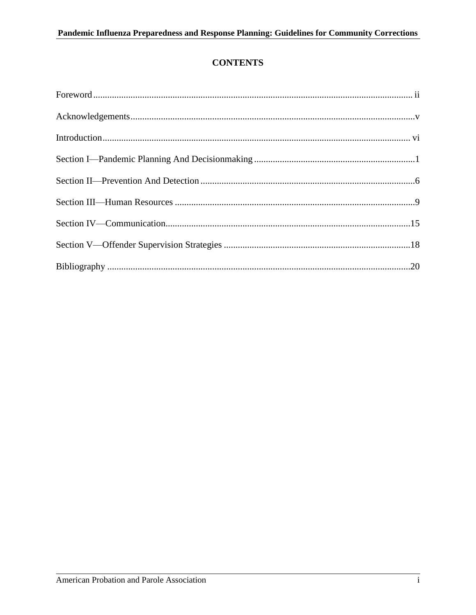# **CONTENTS**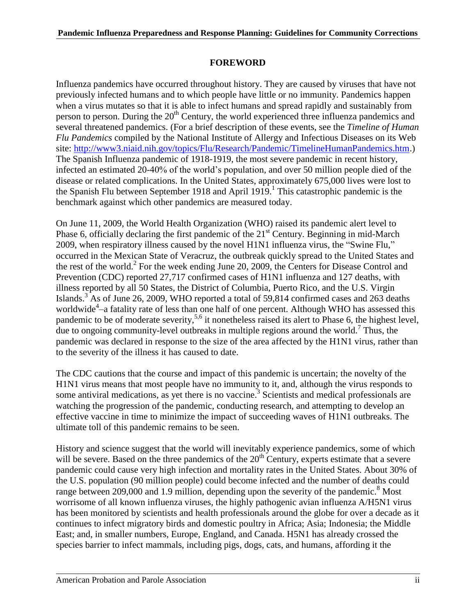# **FOREWORD**

Influenza pandemics have occurred throughout history. They are caused by viruses that have not previously infected humans and to which people have little or no immunity. Pandemics happen when a virus mutates so that it is able to infect humans and spread rapidly and sustainably from person to person. During the  $20<sup>th</sup>$  Century, the world experienced three influenza pandemics and several threatened pandemics. (For a brief description of these events, see the *Timeline of Human Flu Pandemics* compiled by the National Institute of Allergy and Infectious Diseases on its Web site: [http://www3.niaid.nih.gov/topics/Flu/Research/Pandemic/TimelineHumanPandemics.htm.](http://www3.niaid.nih.gov/topics/Flu/Research/Pandemic/TimelineHumanPandemics.htm)) The Spanish Influenza pandemic of 1918-1919, the most severe pandemic in recent history, infected an estimated 20-40% of the world's population, and over 50 million people died of the disease or related complications. In the United States, approximately 675,000 lives were lost to the Spanish Flu between September 1918 and April 1919. 1 This catastrophic pandemic is the benchmark against which other pandemics are measured today.

On June 11, 2009, the World Health Organization (WHO) raised its pandemic alert level to Phase 6, officially declaring the first pandemic of the  $21<sup>st</sup>$  Century. Beginning in mid-March 2009, when respiratory illness caused by the novel H1N1 influenza virus, the "Swine Flu," occurred in the Mexican State of Veracruz, the outbreak quickly spread to the United States and the rest of the world. 2 For the week ending June 20, 2009, the Centers for Disease Control and Prevention (CDC) reported 27,717 confirmed cases of H1N1 influenza and 127 deaths, with illness reported by all 50 States, the District of Columbia, Puerto Rico, and the U.S. Virgin Islands.<sup>3</sup> As of June 26, 2009, WHO reported a total of 59,814 confirmed cases and 263 deaths worldwide<sup>4</sup>—a fatality rate of less than one half of one percent. Although WHO has assessed this pandemic to be of moderate severity,<sup>5,6</sup> it nonetheless raised its alert to Phase 6, the highest level, due to ongoing community-level outbreaks in multiple regions around the world.<sup>7</sup> Thus, the pandemic was declared in response to the size of the area affected by the H1N1 virus, rather than to the severity of the illness it has caused to date.

The CDC cautions that the course and impact of this pandemic is uncertain; the novelty of the H1N1 virus means that most people have no immunity to it, and, although the virus responds to some antiviral medications, as yet there is no vaccine.<sup>3</sup> Scientists and medical professionals are watching the progression of the pandemic, conducting research, and attempting to develop an effective vaccine in time to minimize the impact of succeeding waves of H1N1 outbreaks. The ultimate toll of this pandemic remains to be seen.

History and science suggest that the world will inevitably experience pandemics, some of which will be severe. Based on the three pandemics of the  $20<sup>th</sup>$  Century, experts estimate that a severe pandemic could cause very high infection and mortality rates in the United States. About 30% of the U.S. population (90 million people) could become infected and the number of deaths could range between 209,000 and 1.9 million, depending upon the severity of the pandemic.<sup>8</sup> Most worrisome of all known influenza viruses, the highly pathogenic avian influenza A/H5N1 virus has been monitored by scientists and health professionals around the globe for over a decade as it continues to infect migratory birds and domestic poultry in Africa; Asia; Indonesia; the Middle East; and, in smaller numbers, Europe, England, and Canada. H5N1 has already crossed the species barrier to infect mammals, including pigs, dogs, cats, and humans, affording it the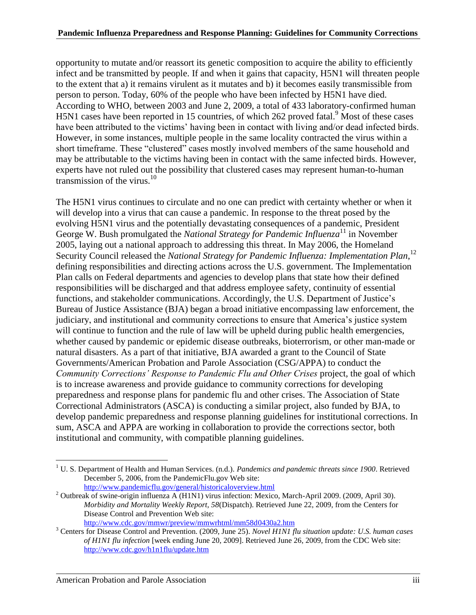opportunity to mutate and/or reassort its genetic composition to acquire the ability to efficiently infect and be transmitted by people. If and when it gains that capacity, H5N1 will threaten people to the extent that a) it remains virulent as it mutates and b) it becomes easily transmissible from person to person. Today, 60% of the people who have been infected by H5N1 have died. According to WHO, between 2003 and June 2, 2009, a total of 433 laboratory-confirmed human H5N1 cases have been reported in 15 countries, of which  $262$  proved fatal.<sup>9</sup> Most of these cases have been attributed to the victims' having been in contact with living and/or dead infected birds. However, in some instances, multiple people in the same locality contracted the virus within a short timeframe. These "clustered" cases mostly involved members of the same household and may be attributable to the victims having been in contact with the same infected birds. However, experts have not ruled out the possibility that clustered cases may represent human-to-human transmission of the virus. $10$ 

The H5N1 virus continues to circulate and no one can predict with certainty whether or when it will develop into a virus that can cause a pandemic. In response to the threat posed by the evolving H5N1 virus and the potentially devastating consequences of a pandemic, President George W. Bush promulgated the *National Strategy for Pandemic Influenza*<sup>11</sup> in November 2005, laying out a national approach to addressing this threat. In May 2006, the Homeland Security Council released the *National Strategy for Pandemic Influenza: Implementation Plan*, 12 defining responsibilities and directing actions across the U.S. government. The Implementation Plan calls on Federal departments and agencies to develop plans that state how their defined responsibilities will be discharged and that address employee safety, continuity of essential functions, and stakeholder communications. Accordingly, the U.S. Department of Justice's Bureau of Justice Assistance (BJA) began a broad initiative encompassing law enforcement, the judiciary, and institutional and community corrections to ensure that America's justice system will continue to function and the rule of law will be upheld during public health emergencies, whether caused by pandemic or epidemic disease outbreaks, bioterrorism, or other man-made or natural disasters. As a part of that initiative, BJA awarded a grant to the Council of State Governments/American Probation and Parole Association (CSG/APPA) to conduct the *Community Corrections' Response to Pandemic Flu and Other Crises* project*,* the goal of which is to increase awareness and provide guidance to community corrections for developing preparedness and response plans for pandemic flu and other crises. The Association of State Correctional Administrators (ASCA) is conducting a similar project, also funded by BJA, to develop pandemic preparedness and response planning guidelines for institutional corrections. In sum, ASCA and APPA are working in collaboration to provide the corrections sector, both institutional and community, with compatible planning guidelines.

 $\overline{a}$ 

<sup>1</sup> U. S. Department of Health and Human Services. (n.d.). *Pandemics and pandemic threats since 1900*. Retrieved December 5, 2006, from the PandemicFlu.gov Web site: <http://www.pandemicflu.gov/general/historicaloverview.html>

<sup>&</sup>lt;sup>2</sup> Outbreak of swine-origin influenza A (H1N1) virus infection: Mexico, March-April 2009. (2009, April 30). *Morbidity and Mortality Weekly Report, 58*(Dispatch). Retrieved June 22, 2009, from the Centers for Disease Control and Prevention Web site: <http://www.cdc.gov/mmwr/preview/mmwrhtml/mm58d0430a2.htm>

<sup>3</sup> Centers for Disease Control and Prevention. (2009, June 25). *Novel H1N1 flu situation update: U.S. human cases of H1N1 flu infection* [week ending June 20, 2009]. Retrieved June 26, 2009, from the CDC Web site: <http://www.cdc.gov/h1n1flu/update.htm>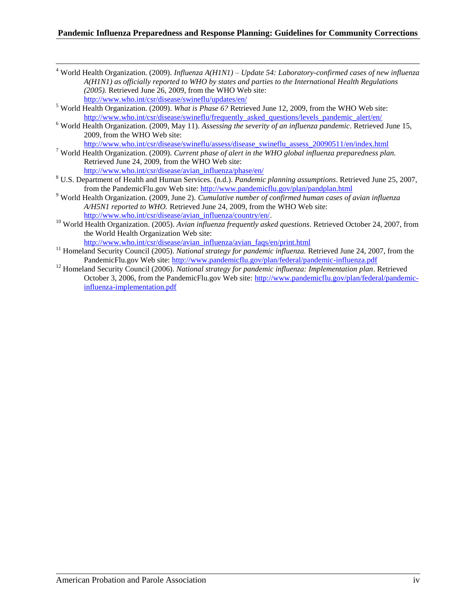#### **Pandemic Influenza Preparedness and Response Planning: Guidelines for Community Corrections**

- <sup>4</sup> World Health Organization. (2009). *Influenza A(H1N1) – Update 54: Laboratory-confirmed cases of new influenza A(H1N1) as officially reported to WHO by states and parties to the International Health Regulations (2005).* Retrieved June 26, 2009, from the WHO Web site: <http://www.who.int/csr/disease/swineflu/updates/en/>
- <sup>5</sup> World Health Organization. (2009). *What is Phase 6?* Retrieved June 12, 2009, from the WHO Web site: http://www.who.int/csr/disease/swineflu/frequently asked questions/levels pandemic alert/en/

 $\overline{a}$ 

- <sup>6</sup> World Health Organization. (2009, May 11). *Assessing the severity of an influenza pandemic*. Retrieved June 15, 2009, from the WHO Web site: [http://www.who.int/csr/disease/swineflu/assess/disease\\_swineflu\\_assess\\_20090511/en/index.html](http://www.who.int/csr/disease/swineflu/assess/disease_swineflu_assess_20090511/en/index.html)
- <sup>7</sup> World Health Organization. (2009). *Current phase of alert in the WHO global influenza preparedness plan.* Retrieved June 24, 2009, from the WHO Web site: [http://www.who.int/csr/disease/avian\\_influenza/phase/en/](http://www.who.int/csr/disease/avian_influenza/phase/en/)
- <sup>8</sup> U.S. Department of Health and Human Services. (n.d.). *Pandemic planning assumptions*. Retrieved June 25, 2007, from the PandemicFlu.gov Web site:<http://www.pandemicflu.gov/plan/pandplan.html>
- <sup>9</sup> World Health Organization. (2009, June 2). *Cumulative number of confirmed human cases of avian influenza A/H5N1 reported to WHO.* Retrieved June 24, 2009, from the WHO Web site: [http://www.who.int/csr/disease/avian\\_influenza/country/en/.](http://www.who.int/csr/disease/avian_influenza/country/en/)
- <sup>10</sup> World Health Organization. (2005). *Avian influenza frequently asked questions*. Retrieved October 24, 2007, from the World Health Organization Web site: [http://www.who.int/csr/disease/avian\\_influenza/avian\\_faqs/en/print.html](http://www.who.int/csr/disease/avian_influenza/avian_faqs/en/print.html)
- <sup>11</sup> Homeland Security Council (2005). *National strategy for pandemic influenza*. Retrieved June 24, 2007, from the
- PandemicFlu.gov Web site:<http://www.pandemicflu.gov/plan/federal/pandemic-influenza.pdf> <sup>12</sup> Homeland Security Council (2006). *National strategy for pandemic influenza: Implementation plan*. Retrieved
- October 3, 2006, from the PandemicFlu.gov Web site: [http://www.pandemicflu.gov/plan/federal/pandemic](http://www.pandemicflu.gov/plan/federal/pandemic-influenza-implementation.pdf)[influenza-implementation.pdf](http://www.pandemicflu.gov/plan/federal/pandemic-influenza-implementation.pdf)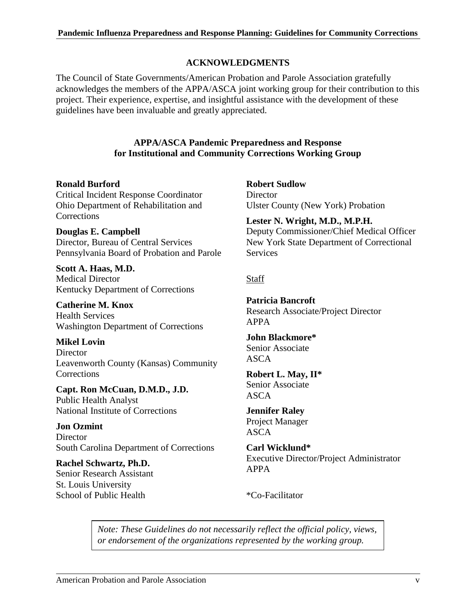# **ACKNOWLEDGMENTS**

The Council of State Governments/American Probation and Parole Association gratefully acknowledges the members of the APPA/ASCA joint working group for their contribution to this project. Their experience, expertise, and insightful assistance with the development of these guidelines have been invaluable and greatly appreciated.

# **APPA/ASCA Pandemic Preparedness and Response for Institutional and Community Corrections Working Group**

# **Ronald Burford**

Critical Incident Response Coordinator Ohio Department of Rehabilitation and **Corrections** 

**Douglas E. Campbell** Director, Bureau of Central Services Pennsylvania Board of Probation and Parole

**Scott A. Haas, M.D.** Medical Director Kentucky Department of Corrections

**Catherine M. Knox** Health Services Washington Department of Corrections

**Mikel Lovin Director** Leavenworth County (Kansas) Community **Corrections** 

**Capt. Ron McCuan, D.M.D., J.D.** Public Health Analyst National Institute of Corrections

**Jon Ozmint Director** South Carolina Department of Corrections

**Rachel Schwartz, Ph.D.** Senior Research Assistant St. Louis University School of Public Health

**Robert Sudlow Director** Ulster County (New York) Probation

**Lester N. Wright, M.D., M.P.H.** Deputy Commissioner/Chief Medical Officer New York State Department of Correctional **Services** 

# **Staff**

**Patricia Bancroft** Research Associate/Project Director APPA

**John Blackmore\*** Senior Associate ASCA

**Robert L. May, II\*** Senior Associate ASCA

**Jennifer Raley** Project Manager ASCA

**Carl Wicklund\*** Executive Director/Project Administrator APPA

\*Co-Facilitator

*Note: These Guidelines do not necessarily reflect the official policy, views, or endorsement of the organizations represented by the working group.*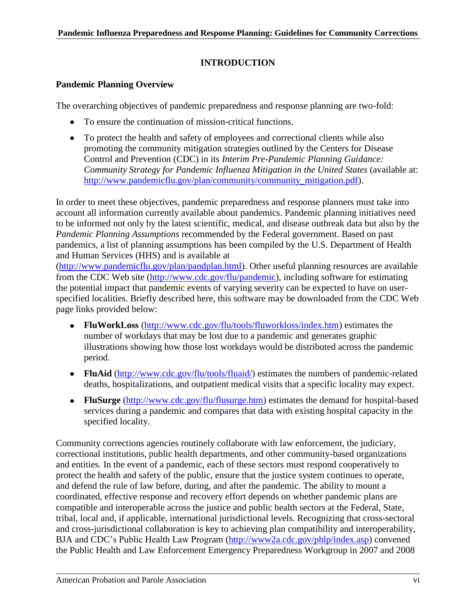# **INTRODUCTION**

# **Pandemic Planning Overview**

The overarching objectives of pandemic preparedness and response planning are two-fold:

- To ensure the continuation of mission-critical functions.
- To protect the health and safety of employees and correctional clients while also promoting the community mitigation strategies outlined by the Centers for Disease Control and Prevention (CDC) in its *Interim Pre-Pandemic Planning Guidance: Community Strategy for Pandemic Influenza Mitigation in the United States* (available at: [http://www.pandemicflu.gov/plan/community/community\\_mitigation.pdf\)](http://www.pandemicflu.gov/plan/community/community_mitigation.pdf).

In order to meet these objectives, pandemic preparedness and response planners must take into account all information currently available about pandemics. Pandemic planning initiatives need to be informed not only by the latest scientific, medical, and disease outbreak data but also by the *Pandemic Planning Assumptions* recommended by the Federal government. Based on past pandemics, a list of planning assumptions has been compiled by the U.S. Department of Health and Human Services (HHS) and is available at

[\(http://www.pandemicflu.gov/plan/pandplan.html\)](http://www.pandemicflu.gov/plan/pandplan.html). Other useful planning resources are available from the CDC Web site [\(http://www.cdc.gov/flu/pandemic\)](http://www.cdc.gov/flu/pandemic), including software for estimating the potential impact that pandemic events of varying severity can be expected to have on userspecified localities. Briefly described here, this software may be downloaded from the CDC Web page links provided below:

- **FluWorkLoss** [\(http://www.cdc.gov/flu/tools/fluworkloss/index.htm\)](http://www.cdc.gov/flu/tools/fluworkloss/index.htm) estimates the  $\bullet$ number of workdays that may be lost due to a pandemic and generates graphic illustrations showing how those lost workdays would be distributed across the pandemic period.
- **FluAid** [\(http://www.cdc.gov/flu/tools/fluaid/\)](http://www.cdc.gov/flu/tools/fluaid/) estimates the numbers of pandemic-related deaths, hospitalizations, and outpatient medical visits that a specific locality may expect.
- **FluSurge** [\(http://www.cdc.gov/flu/flusurge.htm\)](http://www.cdc.gov/flu/flusurge.htm) estimates the demand for hospital-based services during a pandemic and compares that data with existing hospital capacity in the specified locality.

Community corrections agencies routinely collaborate with law enforcement, the judiciary, correctional institutions, public health departments, and other community-based organizations and entities. In the event of a pandemic, each of these sectors must respond cooperatively to protect the health and safety of the public, ensure that the justice system continues to operate, and defend the rule of law before, during, and after the pandemic. The ability to mount a coordinated, effective response and recovery effort depends on whether pandemic plans are compatible and interoperable across the justice and public health sectors at the Federal, State, tribal, local and, if applicable, international jurisdictional levels. Recognizing that cross-sectoral and cross-jurisdictional collaboration is key to achieving plan compatibility and interoperability, BJA and CDC's Public Health Law Program [\(http://www2a.cdc.gov/phlp/index.asp\)](http://www2a.cdc.gov/phlp/index.asp) convened the Public Health and Law Enforcement Emergency Preparedness Workgroup in 2007 and 2008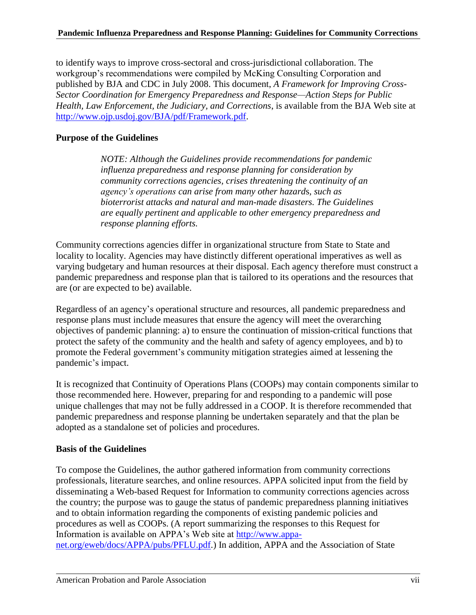to identify ways to improve cross-sectoral and cross-jurisdictional collaboration. The workgroup's recommendations were compiled by McKing Consulting Corporation and published by BJA and CDC in July 2008. This document, *A Framework for Improving Cross-Sector Coordination for Emergency Preparedness and Response—Action Steps for Public Health, Law Enforcement, the Judiciary, and Corrections*, is available from the BJA Web site at [http://www.ojp.usdoj.gov/BJA/pdf/Framework.pdf.](http://www.ojp.usdoj.gov/BJA/pdf/Framework.pdf)

# **Purpose of the Guidelines**

*NOTE: Although the Guidelines provide recommendations for pandemic influenza preparedness and response planning for consideration by community corrections agencies, crises threatening the continuity of an agency's operations can arise from many other hazard*s*, such as bioterrorist attacks and natural and man-made disasters. The Guidelines are equally pertinent and applicable to other emergency preparedness and response planning efforts.*

Community corrections agencies differ in organizational structure from State to State and locality to locality. Agencies may have distinctly different operational imperatives as well as varying budgetary and human resources at their disposal. Each agency therefore must construct a pandemic preparedness and response plan that is tailored to its operations and the resources that are (or are expected to be) available.

Regardless of an agency's operational structure and resources, all pandemic preparedness and response plans must include measures that ensure the agency will meet the overarching objectives of pandemic planning: a) to ensure the continuation of mission-critical functions that protect the safety of the community and the health and safety of agency employees, and b) to promote the Federal government's community mitigation strategies aimed at lessening the pandemic's impact.

It is recognized that Continuity of Operations Plans (COOPs) may contain components similar to those recommended here. However, preparing for and responding to a pandemic will pose unique challenges that may not be fully addressed in a COOP. It is therefore recommended that pandemic preparedness and response planning be undertaken separately and that the plan be adopted as a standalone set of policies and procedures.

# **Basis of the Guidelines**

To compose the Guidelines, the author gathered information from community corrections professionals, literature searches, and online resources. APPA solicited input from the field by disseminating a Web-based Request for Information to community corrections agencies across the country; the purpose was to gauge the status of pandemic preparedness planning initiatives and to obtain information regarding the components of existing pandemic policies and procedures as well as COOPs. (A report summarizing the responses to this Request for Information is available on APPA's Web site at [http://www.appa](http://www.appa-net.org/eweb/docs/APPA/pubs/PFLU.pdf)[net.org/eweb/docs/APPA/pubs/PFLU.pdf.](http://www.appa-net.org/eweb/docs/APPA/pubs/PFLU.pdf)) In addition, APPA and the Association of State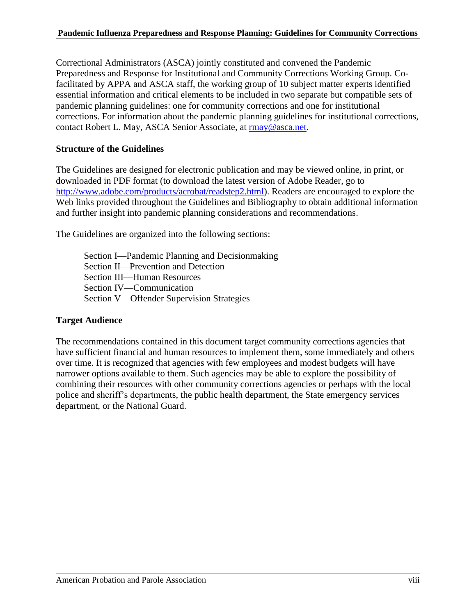Correctional Administrators (ASCA) jointly constituted and convened the Pandemic Preparedness and Response for Institutional and Community Corrections Working Group. Cofacilitated by APPA and ASCA staff, the working group of 10 subject matter experts identified essential information and critical elements to be included in two separate but compatible sets of pandemic planning guidelines: one for community corrections and one for institutional corrections. For information about the pandemic planning guidelines for institutional corrections, contact Robert L. May, ASCA Senior Associate, at [rmay@asca.net.](mailto:rmay@asca.net)

# **Structure of the Guidelines**

The Guidelines are designed for electronic publication and may be viewed online, in print, or downloaded in PDF format (to download the latest version of Adobe Reader, go to [http://www.adobe.com/products/acrobat/readstep2.html\)](http://www.adobe.com/products/acrobat/readstep2.html). Readers are encouraged to explore the Web links provided throughout the Guidelines and Bibliography to obtain additional information and further insight into pandemic planning considerations and recommendations.

The Guidelines are organized into the following sections:

Section I—Pandemic Planning and Decisionmaking Section II—Prevention and Detection Section III—Human Resources Section IV—Communication Section V—Offender Supervision Strategies

# **Target Audience**

The recommendations contained in this document target community corrections agencies that have sufficient financial and human resources to implement them, some immediately and others over time. It is recognized that agencies with few employees and modest budgets will have narrower options available to them. Such agencies may be able to explore the possibility of combining their resources with other community corrections agencies or perhaps with the local police and sheriff's departments, the public health department, the State emergency services department, or the National Guard.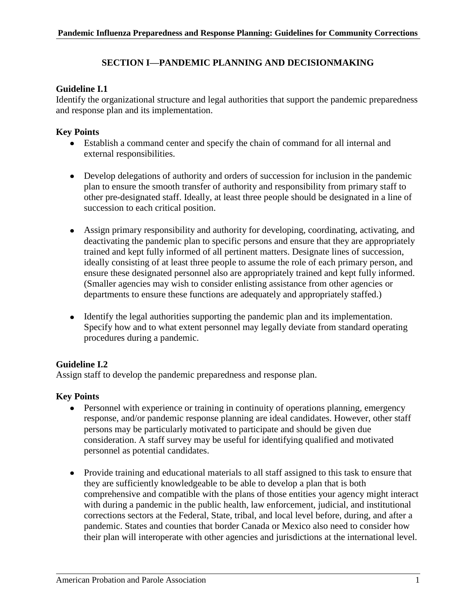# **SECTION I—PANDEMIC PLANNING AND DECISIONMAKING**

# **Guideline I.1**

Identify the organizational structure and legal authorities that support the pandemic preparedness and response plan and its implementation.

# **Key Points**

- Establish a command center and specify the chain of command for all internal and external responsibilities.
- Develop delegations of authority and orders of succession for inclusion in the pandemic plan to ensure the smooth transfer of authority and responsibility from primary staff to other pre-designated staff. Ideally, at least three people should be designated in a line of succession to each critical position.
- Assign primary responsibility and authority for developing, coordinating, activating, and deactivating the pandemic plan to specific persons and ensure that they are appropriately trained and kept fully informed of all pertinent matters. Designate lines of succession, ideally consisting of at least three people to assume the role of each primary person, and ensure these designated personnel also are appropriately trained and kept fully informed. (Smaller agencies may wish to consider enlisting assistance from other agencies or departments to ensure these functions are adequately and appropriately staffed.)
- Identify the legal authorities supporting the pandemic plan and its implementation. Specify how and to what extent personnel may legally deviate from standard operating procedures during a pandemic.

# **Guideline I.2**

Assign staff to develop the pandemic preparedness and response plan.

- Personnel with experience or training in continuity of operations planning, emergency response, and/or pandemic response planning are ideal candidates. However, other staff persons may be particularly motivated to participate and should be given due consideration. A staff survey may be useful for identifying qualified and motivated personnel as potential candidates.
- Provide training and educational materials to all staff assigned to this task to ensure that they are sufficiently knowledgeable to be able to develop a plan that is both comprehensive and compatible with the plans of those entities your agency might interact with during a pandemic in the public health, law enforcement, judicial, and institutional corrections sectors at the Federal, State, tribal, and local level before, during, and after a pandemic. States and counties that border Canada or Mexico also need to consider how their plan will interoperate with other agencies and jurisdictions at the international level.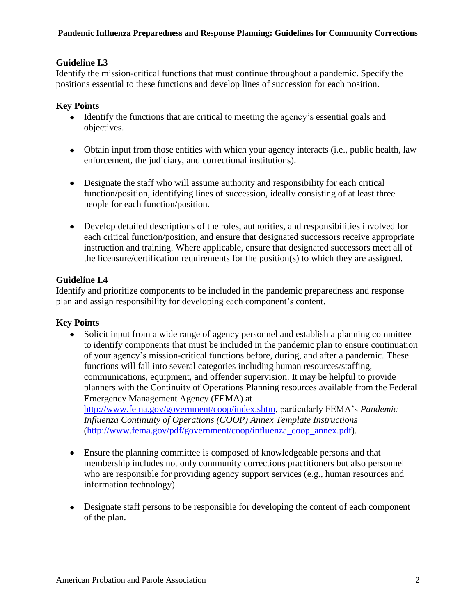# **Guideline I.3**

Identify the mission-critical functions that must continue throughout a pandemic. Specify the positions essential to these functions and develop lines of succession for each position.

# **Key Points**

- Identify the functions that are critical to meeting the agency's essential goals and objectives.
- Obtain input from those entities with which your agency interacts (i.e., public health, law enforcement, the judiciary, and correctional institutions).
- Designate the staff who will assume authority and responsibility for each critical function/position, identifying lines of succession, ideally consisting of at least three people for each function/position.
- Develop detailed descriptions of the roles, authorities, and responsibilities involved for each critical function/position, and ensure that designated successors receive appropriate instruction and training. Where applicable, ensure that designated successors meet all of the licensure/certification requirements for the position(s) to which they are assigned.

# **Guideline I.4**

Identify and prioritize components to be included in the pandemic preparedness and response plan and assign responsibility for developing each component's content.

- Solicit input from a wide range of agency personnel and establish a planning committee to identify components that must be included in the pandemic plan to ensure continuation of your agency's mission-critical functions before, during, and after a pandemic. These functions will fall into several categories including human resources/staffing, communications, equipment, and offender supervision. It may be helpful to provide planners with the Continuity of Operations Planning resources available from the Federal Emergency Management Agency (FEMA) at [http://www.fema.gov/government/coop/index.shtm,](http://www.fema.gov/government/coop/index.shtm) particularly FEMA's *Pandemic Influenza Continuity of Operations (COOP) Annex Template Instructions* [\(http://www.fema.gov/pdf/government/coop/influenza\\_coop\\_annex.pdf\)](http://www.fema.gov/pdf/government/coop/influenza_coop_annex.pdf).
- Ensure the planning committee is composed of knowledgeable persons and that membership includes not only community corrections practitioners but also personnel who are responsible for providing agency support services (e.g., human resources and information technology).
- Designate staff persons to be responsible for developing the content of each component of the plan.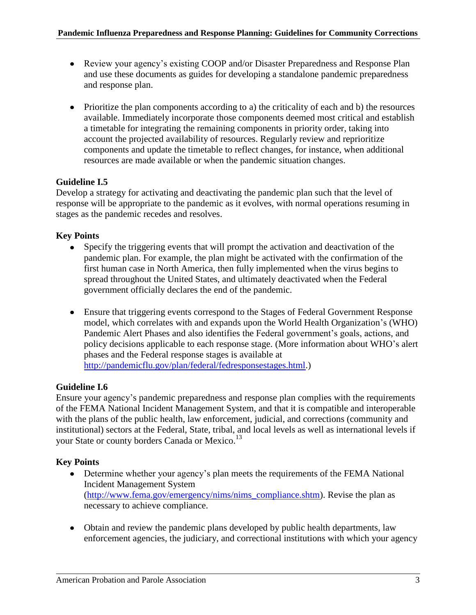- Review your agency's existing COOP and/or Disaster Preparedness and Response Plan and use these documents as guides for developing a standalone pandemic preparedness and response plan.
- Prioritize the plan components according to a) the criticality of each and b) the resources available. Immediately incorporate those components deemed most critical and establish a timetable for integrating the remaining components in priority order, taking into account the projected availability of resources. Regularly review and reprioritize components and update the timetable to reflect changes, for instance, when additional resources are made available or when the pandemic situation changes.

# **Guideline I.5**

Develop a strategy for activating and deactivating the pandemic plan such that the level of response will be appropriate to the pandemic as it evolves, with normal operations resuming in stages as the pandemic recedes and resolves.

# **Key Points**

- Specify the triggering events that will prompt the activation and deactivation of the pandemic plan. For example, the plan might be activated with the confirmation of the first human case in North America, then fully implemented when the virus begins to spread throughout the United States, and ultimately deactivated when the Federal government officially declares the end of the pandemic.
- Ensure that triggering events correspond to the Stages of Federal Government Response model, which correlates with and expands upon the World Health Organization's (WHO) Pandemic Alert Phases and also identifies the Federal government's goals, actions, and policy decisions applicable to each response stage. (More information about WHO's alert phases and the Federal response stages is available at [http://pandemicflu.gov/plan/federal/fedresponsestages.html.](http://pandemicflu.gov/plan/federal/fedresponsestages.html))

# **Guideline I.6**

Ensure your agency's pandemic preparedness and response plan complies with the requirements of the FEMA National Incident Management System, and that it is compatible and interoperable with the plans of the public health, law enforcement, judicial, and corrections (community and institutional) sectors at the Federal, State, tribal, and local levels as well as international levels if your State or county borders Canada or Mexico.<sup>13</sup>

- Determine whether your agency's plan meets the requirements of the FEMA National Incident Management System [\(http://www.fema.gov/emergency/nims/nims\\_compliance.shtm\)](http://www.fema.gov/emergency/nims/nims_compliance.shtm). Revise the plan as necessary to achieve compliance.
- Obtain and review the pandemic plans developed by public health departments, law enforcement agencies, the judiciary, and correctional institutions with which your agency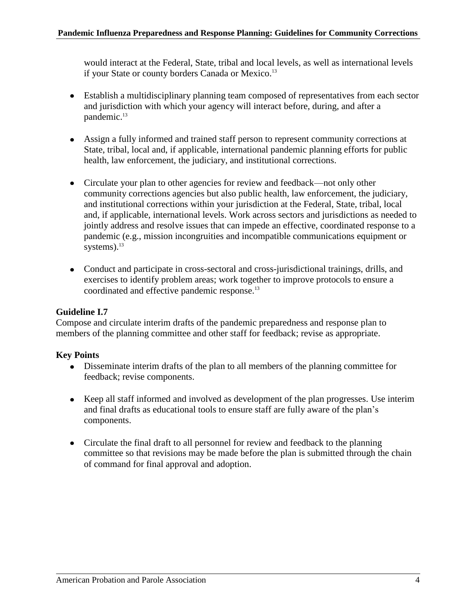would interact at the Federal, State, tribal and local levels, as well as international levels if your State or county borders Canada or Mexico.<sup>13</sup>

- Establish a multidisciplinary planning team composed of representatives from each sector and jurisdiction with which your agency will interact before, during, and after a pandemic. 13
- Assign a fully informed and trained staff person to represent community corrections at State, tribal, local and, if applicable, international pandemic planning efforts for public health, law enforcement, the judiciary, and institutional corrections.
- Circulate your plan to other agencies for review and feedback—not only other community corrections agencies but also public health, law enforcement, the judiciary, and institutional corrections within your jurisdiction at the Federal, State, tribal, local and, if applicable, international levels. Work across sectors and jurisdictions as needed to jointly address and resolve issues that can impede an effective, coordinated response to a pandemic (e.g., mission incongruities and incompatible communications equipment or systems). $^{13}$
- Conduct and participate in cross-sectoral and cross-jurisdictional trainings, drills, and exercises to identify problem areas; work together to improve protocols to ensure a coordinated and effective pandemic response.<sup>13</sup>

# **Guideline I.7**

Compose and circulate interim drafts of the pandemic preparedness and response plan to members of the planning committee and other staff for feedback; revise as appropriate.

- Disseminate interim drafts of the plan to all members of the planning committee for feedback; revise components.
- Keep all staff informed and involved as development of the plan progresses. Use interim and final drafts as educational tools to ensure staff are fully aware of the plan's components.
- Circulate the final draft to all personnel for review and feedback to the planning committee so that revisions may be made before the plan is submitted through the chain of command for final approval and adoption.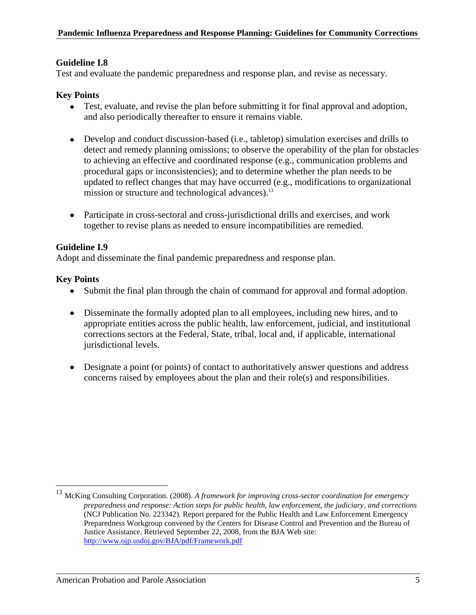# **Guideline I.8**

Test and evaluate the pandemic preparedness and response plan, and revise as necessary.

# **Key Points**

- Test, evaluate, and revise the plan before submitting it for final approval and adoption, and also periodically thereafter to ensure it remains viable.
- Develop and conduct discussion-based (i.e., tabletop) simulation exercises and drills to detect and remedy planning omissions; to observe the operability of the plan for obstacles to achieving an effective and coordinated response (e.g., communication problems and procedural gaps or inconsistencies); and to determine whether the plan needs to be updated to reflect changes that may have occurred (e.g., modifications to organizational mission or structure and technological advances).<sup>13</sup>
- Participate in cross-sectoral and cross-jurisdictional drills and exercises, and work together to revise plans as needed to ensure incompatibilities are remedied.

# **Guideline I.9**

Adopt and disseminate the final pandemic preparedness and response plan.

# **Key Points**

 $\overline{a}$ 

- Submit the final plan through the chain of command for approval and formal adoption.
- Disseminate the formally adopted plan to all employees, including new hires, and to appropriate entities across the public health, law enforcement, judicial, and institutional corrections sectors at the Federal, State, tribal, local and, if applicable, international jurisdictional levels.
- Designate a point (or points) of contact to authoritatively answer questions and address concerns raised by employees about the plan and their role(s) and responsibilities.

<sup>13</sup> McKing Consulting Corporation. (2008). *A framework for improving cross-sector coordination for emergency preparedness and response: Action steps for public health, law enforcement, the judiciary, and corrections*  (NCJ Publication No. 223342). Report prepared for the Public Health and Law Enforcement Emergency Preparedness Workgroup convened by the Centers for Disease Control and Prevention and the Bureau of Justice Assistance. Retrieved September 22, 2008, from the BJA Web site: <http://www.ojp.usdoj.gov/BJA/pdf/Framework.pdf>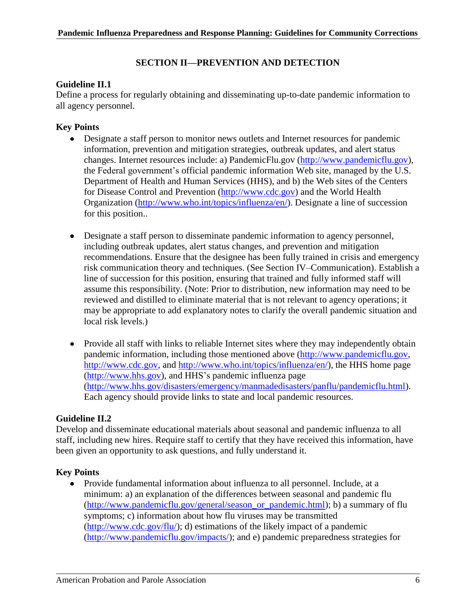# **SECTION II—PREVENTION AND DETECTION**

# **Guideline II.1**

Define a process for regularly obtaining and disseminating up-to-date pandemic information to all agency personnel.

# **Key Points**

- Designate a staff person to monitor news outlets and Internet resources for pandemic information, prevention and mitigation strategies, outbreak updates, and alert status changes. Internet resources include: a) PandemicFlu.gov [\(http://www.pandemicflu.gov\)](http://www.pandemicflu.gov/), the Federal government's official pandemic information Web site, managed by the U.S. Department of Health and Human Services (HHS), and b) the Web sites of the Centers for Disease Control and Prevention [\(http://www.cdc.gov\)](http://www.cdc.gov/) and the World Health Organization [\(http://www.who.int/topics/influenza/en/\)](http://www.who.int/topics/influenza/en/). Designate a line of succession for this position..
- Designate a staff person to disseminate pandemic information to agency personnel, including outbreak updates, alert status changes, and prevention and mitigation recommendations. Ensure that the designee has been fully trained in crisis and emergency risk communication theory and techniques. (See Section IV–Communication). Establish a line of succession for this position, ensuring that trained and fully informed staff will assume this responsibility. (Note: Prior to distribution, new information may need to be reviewed and distilled to eliminate material that is not relevant to agency operations; it may be appropriate to add explanatory notes to clarify the overall pandemic situation and local risk levels.)
- Provide all staff with links to reliable Internet sites where they may independently obtain pandemic information, including those mentioned above [\(http://www.pandemicflu.gov,](http://www.pandemicflu.gov/) [http://www.cdc.gov,](http://www.cdc.gov/) and [http://www.who.int/topics/influenza/en/\)](http://www.who.int/topics/influenza/en/), the HHS home page [\(http://www.hhs.gov\)](http://www.hhs.gov/), and HHS's pandemic influenza page [\(http://www.hhs.gov/disasters/emergency/manmadedisasters/panflu/pandemicflu.html\)](http://www.hhs.gov/disasters/emergency/manmadedisasters/panflu/pandemicflu.html). Each agency should provide links to state and local pandemic resources.

# **Guideline II.2**

Develop and disseminate educational materials about seasonal and pandemic influenza to all staff, including new hires. Require staff to certify that they have received this information, have been given an opportunity to ask questions, and fully understand it.

# **Key Points**

Provide fundamental information about influenza to all personnel. Include, at a minimum: a) an explanation of the differences between seasonal and pandemic flu [\(http://www.pandemicflu.gov/general/season\\_or\\_pandemic.html\)](http://www.pandemicflu.gov/general/season_or_pandemic.html); b) a summary of flu symptoms; c) information about how flu viruses may be transmitted [\(http://www.cdc.gov/flu/\)](http://www.cdc.gov/flu/); d) estimations of the likely impact of a pandemic [\(http://www.pandemicflu.gov/impacts/\)](http://www.pandemicflu.gov/impacts/); and e) pandemic preparedness strategies for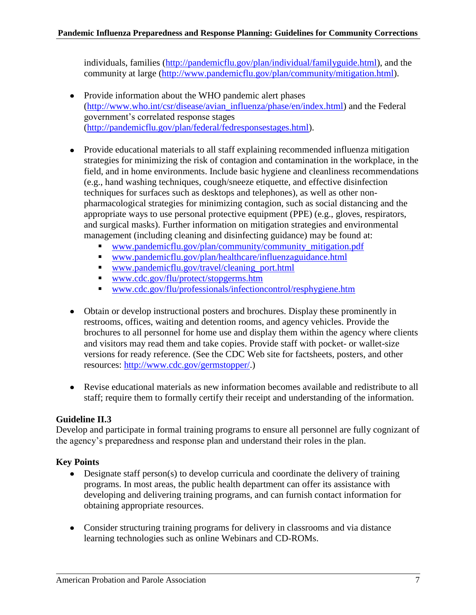individuals, families [\(http://pandemicflu.gov/plan/individual/familyguide.html\)](http://pandemicflu.gov/plan/individual/familyguide.html), and the community at large [\(http://www.pandemicflu.gov/plan/community/mitigation.html\)](http://www.pandemicflu.gov/plan/community/mitigation.html).

- Provide information about the WHO pandemic alert phases [\(http://www.who.int/csr/disease/avian\\_influenza/phase/en/index.html\)](http://www.who.int/csr/disease/avian_influenza/phase/en/index.html) and the Federal government's correlated response stages [\(http://pandemicflu.gov/plan/federal/fedresponsestages.html\)](http://pandemicflu.gov/plan/federal/fedresponsestages.html).
- Provide educational materials to all staff explaining recommended influenza mitigation strategies for minimizing the risk of contagion and contamination in the workplace, in the field, and in home environments. Include basic hygiene and cleanliness recommendations (e.g., hand washing techniques, cough/sneeze etiquette, and effective disinfection techniques for surfaces such as desktops and telephones), as well as other nonpharmacological strategies for minimizing contagion, such as social distancing and the appropriate ways to use personal protective equipment (PPE) (e.g., gloves, respirators, and surgical masks). Further information on mitigation strategies and environmental management (including cleaning and disinfecting guidance) may be found at:
	- [www.pandemicflu.gov/plan/community/community\\_mitigation.pdf](http://www.pandemicflu.gov/plan/community/community_mitigation.pdf)
	- [www.pandemicflu.gov/plan/healthcare/influenzaguidance.html](http://www.pandemicflu.gov/plan/healthcare/influenzaguidance.html)
	- [www.pandemicflu.gov/travel/cleaning\\_port.html](http://www.pandemicflu.gov/travel/cleaning_port.html)
	- [www.cdc.gov/flu/protect/stopgerms.htm](http://www.cdc.gov/flu/protect/stopgerms.htm)
	- [www.cdc.gov/flu/professionals/infectioncontrol/resphygiene.htm](http://www.cdc.gov/flu/professionals/infectioncontrol/resphygiene.htm)
- Obtain or develop instructional posters and brochures. Display these prominently in restrooms, offices, waiting and detention rooms, and agency vehicles. Provide the brochures to all personnel for home use and display them within the agency where clients and visitors may read them and take copies. Provide staff with pocket- or wallet-size versions for ready reference. (See the CDC Web site for factsheets, posters, and other resources: [http://www.cdc.gov/germstopper/.](http://www.cdc.gov/germstopper/))
- Revise educational materials as new information becomes available and redistribute to all staff; require them to formally certify their receipt and understanding of the information.

# **Guideline II.3**

Develop and participate in formal training programs to ensure all personnel are fully cognizant of the agency's preparedness and response plan and understand their roles in the plan.

- $\bullet$  Designate staff person(s) to develop curricula and coordinate the delivery of training programs. In most areas, the public health department can offer its assistance with developing and delivering training programs, and can furnish contact information for obtaining appropriate resources.
- Consider structuring training programs for delivery in classrooms and via distance learning technologies such as online Webinars and CD-ROMs.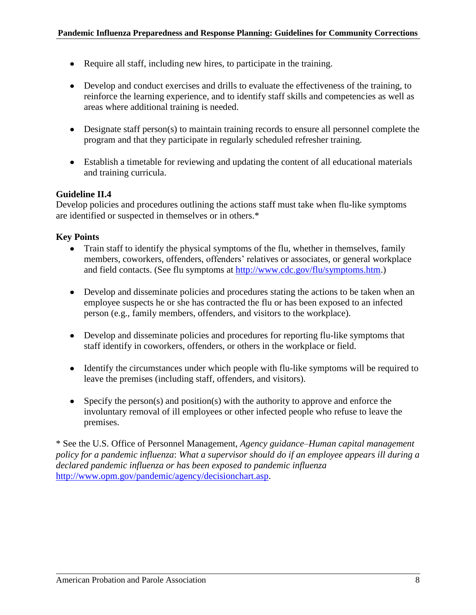- Require all staff, including new hires, to participate in the training.
- Develop and conduct exercises and drills to evaluate the effectiveness of the training, to reinforce the learning experience, and to identify staff skills and competencies as well as areas where additional training is needed.
- Designate staff person(s) to maintain training records to ensure all personnel complete the program and that they participate in regularly scheduled refresher training.
- Establish a timetable for reviewing and updating the content of all educational materials and training curricula.

#### **Guideline II.4**

Develop policies and procedures outlining the actions staff must take when flu-like symptoms are identified or suspected in themselves or in others.\*

#### **Key Points**

- Train staff to identify the physical symptoms of the flu, whether in themselves, family members, coworkers, offenders, offenders' relatives or associates, or general workplace and field contacts. (See flu symptoms at [http://www.cdc.gov/flu/symptoms.htm.](http://www.cdc.gov/flu/symptoms.htm))
- Develop and disseminate policies and procedures stating the actions to be taken when an employee suspects he or she has contracted the flu or has been exposed to an infected person (e.g., family members, offenders, and visitors to the workplace).
- Develop and disseminate policies and procedures for reporting flu-like symptoms that staff identify in coworkers, offenders, or others in the workplace or field.
- Identify the circumstances under which people with flu-like symptoms will be required to leave the premises (including staff, offenders, and visitors).
- Specify the person(s) and position(s) with the authority to approve and enforce the involuntary removal of ill employees or other infected people who refuse to leave the premises.

\* See the U.S. Office of Personnel Management, *Agency guidance–Human capital management policy for a pandemic influenza*: *What a supervisor should do if an employee appears ill during a declared pandemic influenza or has been exposed to pandemic influenza* [http://www.opm.gov/pandemic/agency/decisionchart.asp.](http://www.opm.gov/pandemic/agency/decisionchart.asp)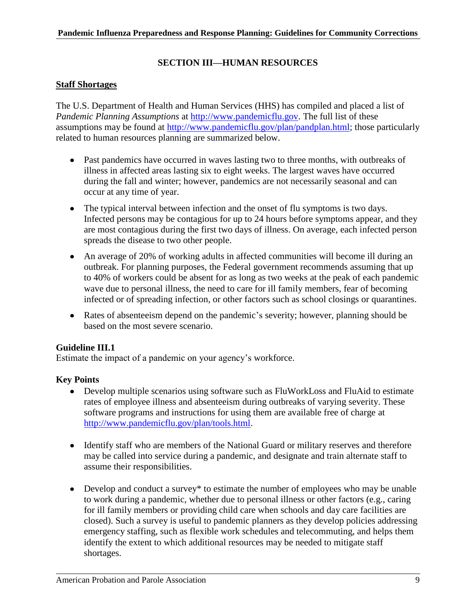# **SECTION III—HUMAN RESOURCES**

# **Staff Shortages**

The U.S. Department of Health and Human Services (HHS) has compiled and placed a list of *Pandemic Planning Assumptions* at [http://www.pandemicflu.gov.](http://www.pandemicflu.gov/) The full list of these assumptions may be found at [http://www.pandemicflu.gov/plan/pandplan.html;](http://www.pandemicflu.gov/plan/pandplan.html) those particularly related to human resources planning are summarized below.

- Past pandemics have occurred in waves lasting two to three months, with outbreaks of illness in affected areas lasting six to eight weeks. The largest waves have occurred during the fall and winter; however, pandemics are not necessarily seasonal and can occur at any time of year.
- The typical interval between infection and the onset of flu symptoms is two days. Infected persons may be contagious for up to 24 hours before symptoms appear, and they are most contagious during the first two days of illness. On average, each infected person spreads the disease to two other people.
- An average of 20% of working adults in affected communities will become ill during an outbreak. For planning purposes, the Federal government recommends assuming that up to 40% of workers could be absent for as long as two weeks at the peak of each pandemic wave due to personal illness, the need to care for ill family members, fear of becoming infected or of spreading infection, or other factors such as school closings or quarantines.
- Rates of absenteeism depend on the pandemic's severity; however, planning should be based on the most severe scenario.

#### **Guideline III.1**

Estimate the impact of a pandemic on your agency's workforce.

- $\bullet$ Develop multiple scenarios using software such as FluWorkLoss and FluAid to estimate rates of employee illness and absenteeism during outbreaks of varying severity. These software programs and instructions for using them are available free of charge at [http://www.pandemicflu.gov/plan/tools.html.](http://www.pandemicflu.gov/plan/tools.html)
- Identify staff who are members of the National Guard or military reserves and therefore may be called into service during a pandemic, and designate and train alternate staff to assume their responsibilities.
- Develop and conduct a survey\* to estimate the number of employees who may be unable to work during a pandemic, whether due to personal illness or other factors (e.g., caring for ill family members or providing child care when schools and day care facilities are closed). Such a survey is useful to pandemic planners as they develop policies addressing emergency staffing, such as flexible work schedules and telecommuting, and helps them identify the extent to which additional resources may be needed to mitigate staff shortages.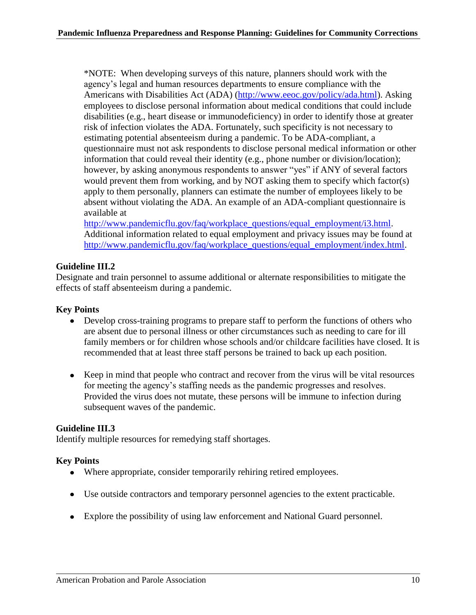\*NOTE: When developing surveys of this nature, planners should work with the agency's legal and human resources departments to ensure compliance with the Americans with Disabilities Act (ADA) [\(http://www.eeoc.gov/policy/ada.html\)](http://www.eeoc.gov/policy/ada.html). Asking employees to disclose personal information about medical conditions that could include disabilities (e.g., heart disease or immunodeficiency) in order to identify those at greater risk of infection violates the ADA. Fortunately, such specificity is not necessary to estimating potential absenteeism during a pandemic. To be ADA-compliant, a questionnaire must not ask respondents to disclose personal medical information or other information that could reveal their identity (e.g., phone number or division/location); however, by asking anonymous respondents to answer "yes" if ANY of several factors would prevent them from working, and by NOT asking them to specify which factor(s) apply to them personally, planners can estimate the number of employees likely to be absent without violating the ADA. An example of an ADA-compliant questionnaire is available at

[http://www.pandemicflu.gov/faq/workplace\\_questions/equal\\_employment/i3.html.](http://www.pandemicflu.gov/faq/workplace_questions/equal_employment/i3.html) Additional information related to equal employment and privacy issues may be found at [http://www.pandemicflu.gov/faq/workplace\\_questions/equal\\_employment/index.html.](http://www.pandemicflu.gov/faq/workplace_questions/equal_employment/index.html)

# **Guideline III.2**

Designate and train personnel to assume additional or alternate responsibilities to mitigate the effects of staff absenteeism during a pandemic.

# **Key Points**

- Develop cross-training programs to prepare staff to perform the functions of others who are absent due to personal illness or other circumstances such as needing to care for ill family members or for children whose schools and/or childcare facilities have closed. It is recommended that at least three staff persons be trained to back up each position.
- Keep in mind that people who contract and recover from the virus will be vital resources for meeting the agency's staffing needs as the pandemic progresses and resolves. Provided the virus does not mutate, these persons will be immune to infection during subsequent waves of the pandemic.

#### **Guideline III.3**

Identify multiple resources for remedying staff shortages.

- Where appropriate, consider temporarily rehiring retired employees.
- Use outside contractors and temporary personnel agencies to the extent practicable.
- Explore the possibility of using law enforcement and National Guard personnel.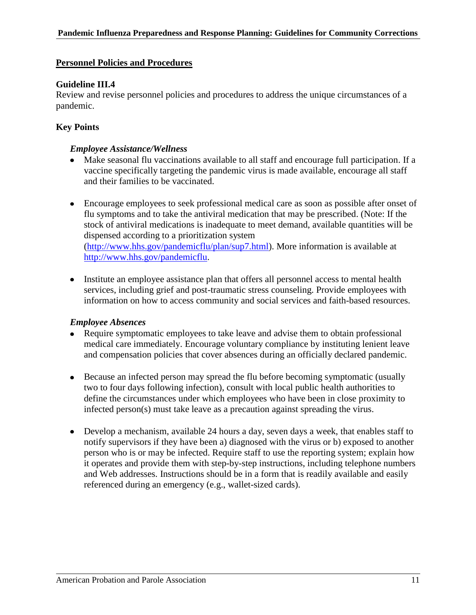# **Personnel Policies and Procedures**

# **Guideline III.4**

Review and revise personnel policies and procedures to address the unique circumstances of a pandemic.

# **Key Points**

# *Employee Assistance/Wellness*

- Make seasonal flu vaccinations available to all staff and encourage full participation. If a vaccine specifically targeting the pandemic virus is made available, encourage all staff and their families to be vaccinated.
- Encourage employees to seek professional medical care as soon as possible after onset of flu symptoms and to take the antiviral medication that may be prescribed. (Note: If the stock of antiviral medications is inadequate to meet demand, available quantities will be dispensed according to a prioritization system [\(http://www.hhs.gov/pandemicflu/plan/sup7.html\)](http://www.hhs.gov/pandemicflu/plan/sup7.html). More information is available at [http://www.hhs.gov/pandemicflu.](http://www.hhs.gov/pandemicflu)
- Institute an employee assistance plan that offers all personnel access to mental health services, including grief and post-traumatic stress counseling. Provide employees with information on how to access community and social services and faith-based resources.

#### *Employee Absences*

- Require symptomatic employees to take leave and advise them to obtain professional medical care immediately. Encourage voluntary compliance by instituting lenient leave and compensation policies that cover absences during an officially declared pandemic.
- Because an infected person may spread the flu before becoming symptomatic (usually two to four days following infection), consult with local public health authorities to define the circumstances under which employees who have been in close proximity to infected person(s) must take leave as a precaution against spreading the virus.
- Develop a mechanism, available 24 hours a day, seven days a week, that enables staff to notify supervisors if they have been a) diagnosed with the virus or b) exposed to another person who is or may be infected. Require staff to use the reporting system; explain how it operates and provide them with step-by-step instructions, including telephone numbers and Web addresses. Instructions should be in a form that is readily available and easily referenced during an emergency (e.g., wallet-sized cards).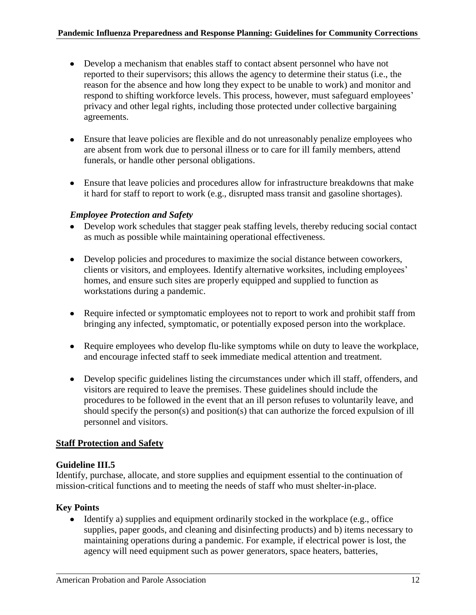- Develop a mechanism that enables staff to contact absent personnel who have not reported to their supervisors; this allows the agency to determine their status (i.e., the reason for the absence and how long they expect to be unable to work) and monitor and respond to shifting workforce levels. This process, however, must safeguard employees' privacy and other legal rights, including those protected under collective bargaining agreements.
- Ensure that leave policies are flexible and do not unreasonably penalize employees who are absent from work due to personal illness or to care for ill family members, attend funerals, or handle other personal obligations.
- Ensure that leave policies and procedures allow for infrastructure breakdowns that make it hard for staff to report to work (e.g., disrupted mass transit and gasoline shortages).

# *Employee Protection and Safety*

- Develop work schedules that stagger peak staffing levels, thereby reducing social contact as much as possible while maintaining operational effectiveness.
- Develop policies and procedures to maximize the social distance between coworkers, clients or visitors, and employees. Identify alternative worksites, including employees' homes, and ensure such sites are properly equipped and supplied to function as workstations during a pandemic.
- Require infected or symptomatic employees not to report to work and prohibit staff from bringing any infected, symptomatic, or potentially exposed person into the workplace.
- Require employees who develop flu-like symptoms while on duty to leave the workplace, and encourage infected staff to seek immediate medical attention and treatment.
- Develop specific guidelines listing the circumstances under which ill staff, offenders, and visitors are required to leave the premises. These guidelines should include the procedures to be followed in the event that an ill person refuses to voluntarily leave, and should specify the person(s) and position(s) that can authorize the forced expulsion of ill personnel and visitors.

# **Staff Protection and Safety**

# **Guideline III.5**

Identify, purchase, allocate, and store supplies and equipment essential to the continuation of mission-critical functions and to meeting the needs of staff who must shelter-in-place.

# **Key Points**

 $\bullet$  Identify a) supplies and equipment ordinarily stocked in the workplace (e.g., office supplies, paper goods, and cleaning and disinfecting products) and b) items necessary to maintaining operations during a pandemic. For example, if electrical power is lost, the agency will need equipment such as power generators, space heaters, batteries,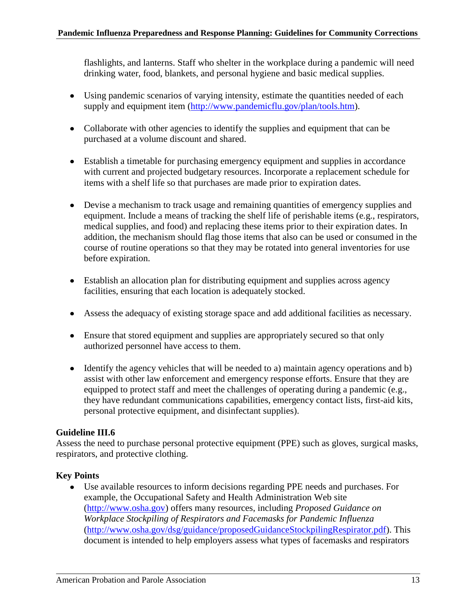flashlights, and lanterns. Staff who shelter in the workplace during a pandemic will need drinking water, food, blankets, and personal hygiene and basic medical supplies.

- Using pandemic scenarios of varying intensity, estimate the quantities needed of each supply and equipment item [\(http://www.pandemicflu.gov/plan/tools.htm\)](http://www.pandemicflu.gov/plan/tools.htm).
- Collaborate with other agencies to identify the supplies and equipment that can be purchased at a volume discount and shared.
- Establish a timetable for purchasing emergency equipment and supplies in accordance with current and projected budgetary resources. Incorporate a replacement schedule for items with a shelf life so that purchases are made prior to expiration dates.
- Devise a mechanism to track usage and remaining quantities of emergency supplies and equipment. Include a means of tracking the shelf life of perishable items (e.g., respirators, medical supplies, and food) and replacing these items prior to their expiration dates. In addition, the mechanism should flag those items that also can be used or consumed in the course of routine operations so that they may be rotated into general inventories for use before expiration.
- Establish an allocation plan for distributing equipment and supplies across agency facilities, ensuring that each location is adequately stocked.
- Assess the adequacy of existing storage space and add additional facilities as necessary.
- Ensure that stored equipment and supplies are appropriately secured so that only authorized personnel have access to them.
- Identify the agency vehicles that will be needed to a) maintain agency operations and b) assist with other law enforcement and emergency response efforts. Ensure that they are equipped to protect staff and meet the challenges of operating during a pandemic (e.g., they have redundant communications capabilities, emergency contact lists, first-aid kits, personal protective equipment, and disinfectant supplies).

# **Guideline III.6**

Assess the need to purchase personal protective equipment (PPE) such as gloves, surgical masks, respirators, and protective clothing.

# **Key Points**

Use available resources to inform decisions regarding PPE needs and purchases. For example, the Occupational Safety and Health Administration Web site [\(http://www.osha.gov\)](http://www.osha.gov/) offers many resources, including *Proposed Guidance on Workplace Stockpiling of Respirators and Facemasks for Pandemic Influenza* [\(http://www.osha.gov/dsg/guidance/proposedGuidanceStockpilingRespirator.pdf\)](http://www.osha.gov/dsg/guidance/proposedGuidanceStockpilingRespirator.pdf). This document is intended to help employers assess what types of facemasks and respirators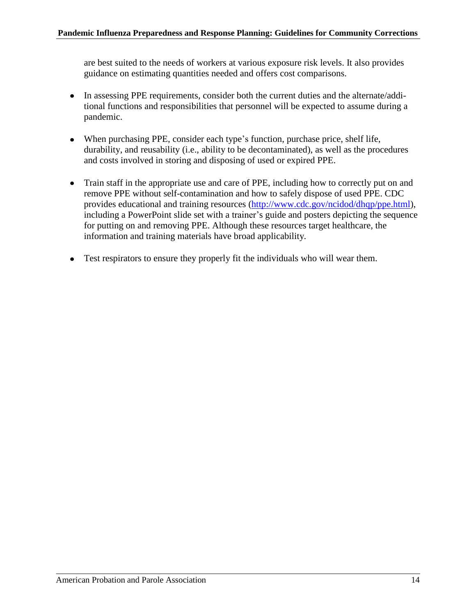are best suited to the needs of workers at various exposure risk levels. It also provides guidance on estimating quantities needed and offers cost comparisons.

- In assessing PPE requirements, consider both the current duties and the alternate/additional functions and responsibilities that personnel will be expected to assume during a pandemic.
- When purchasing PPE, consider each type's function, purchase price, shelf life, durability, and reusability (i.e., ability to be decontaminated), as well as the procedures and costs involved in storing and disposing of used or expired PPE.
- Train staff in the appropriate use and care of PPE, including how to correctly put on and remove PPE without self-contamination and how to safely dispose of used PPE. CDC provides educational and training resources [\(http://www.cdc.gov/ncidod/dhqp/ppe.html\)](http://www.cdc.gov/ncidod/dhqp/ppe.html), including a PowerPoint slide set with a trainer's guide and posters depicting the sequence for putting on and removing PPE. Although these resources target healthcare, the information and training materials have broad applicability.
- Test respirators to ensure they properly fit the individuals who will wear them.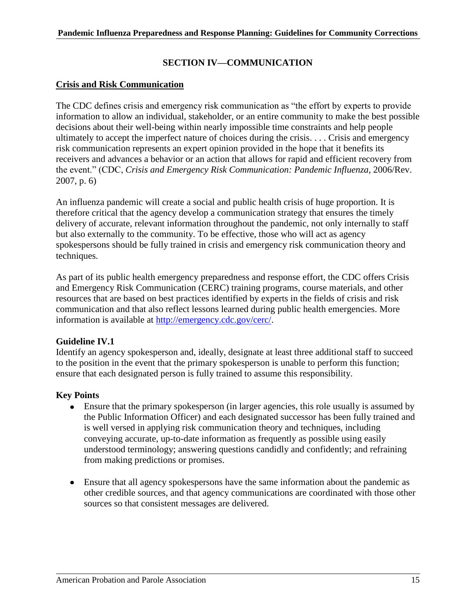# **SECTION IV—COMMUNICATION**

### **Crisis and Risk Communication**

The CDC defines crisis and emergency risk communication as "the effort by experts to provide information to allow an individual, stakeholder, or an entire community to make the best possible decisions about their well-being within nearly impossible time constraints and help people ultimately to accept the imperfect nature of choices during the crisis. . . . Crisis and emergency risk communication represents an expert opinion provided in the hope that it benefits its receivers and advances a behavior or an action that allows for rapid and efficient recovery from the event.‖ (CDC, *Crisis and Emergency Risk Communication: Pandemic Influenza,* 2006/Rev. 2007, p. 6)

An influenza pandemic will create a social and public health crisis of huge proportion. It is therefore critical that the agency develop a communication strategy that ensures the timely delivery of accurate, relevant information throughout the pandemic, not only internally to staff but also externally to the community. To be effective, those who will act as agency spokespersons should be fully trained in crisis and emergency risk communication theory and techniques.

As part of its public health emergency preparedness and response effort, the CDC offers Crisis and Emergency Risk Communication (CERC) training programs, course materials, and other resources that are based on best practices identified by experts in the fields of crisis and risk communication and that also reflect lessons learned during public health emergencies. More information is available at [http://emergency.cdc.gov/cerc/.](http://emergency.cdc.gov/cerc/)

#### **Guideline IV.1**

Identify an agency spokesperson and, ideally, designate at least three additional staff to succeed to the position in the event that the primary spokesperson is unable to perform this function; ensure that each designated person is fully trained to assume this responsibility.

- Ensure that the primary spokesperson (in larger agencies, this role usually is assumed by the Public Information Officer) and each designated successor has been fully trained and is well versed in applying risk communication theory and techniques, including conveying accurate, up-to-date information as frequently as possible using easily understood terminology; answering questions candidly and confidently; and refraining from making predictions or promises.
- Ensure that all agency spokespersons have the same information about the pandemic as other credible sources, and that agency communications are coordinated with those other sources so that consistent messages are delivered.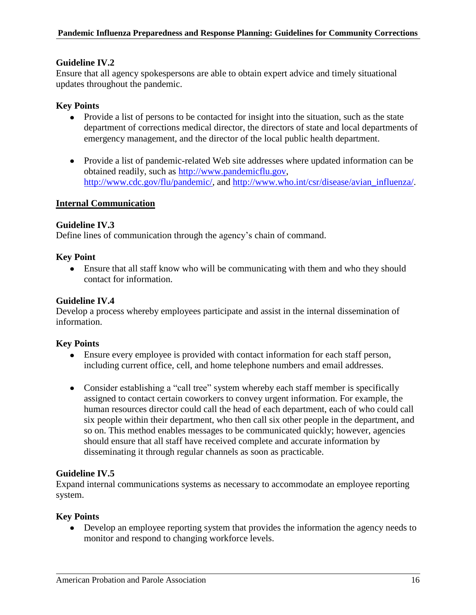# **Guideline IV.2**

Ensure that all agency spokespersons are able to obtain expert advice and timely situational updates throughout the pandemic.

# **Key Points**

- Provide a list of persons to be contacted for insight into the situation, such as the state department of corrections medical director, the directors of state and local departments of emergency management, and the director of the local public health department.
- Provide a list of pandemic-related Web site addresses where updated information can be obtained readily, such as [http://www.pandemicflu.gov,](http://www.pandemicflu.gov/) [http://www.cdc.gov/flu/pandemic/,](http://www.cdc.gov/flu/pandemic/) and [http://www.who.int/csr/disease/avian\\_influenza/.](http://www.who.int/csr/disease/avian_influenza/)

#### **Internal Communication**

#### **Guideline IV.3**

Define lines of communication through the agency's chain of command.

#### **Key Point**

Ensure that all staff know who will be communicating with them and who they should  $\bullet$ contact for information.

#### **Guideline IV.4**

Develop a process whereby employees participate and assist in the internal dissemination of information.

#### **Key Points**

- Ensure every employee is provided with contact information for each staff person, including current office, cell, and home telephone numbers and email addresses.
- Consider establishing a "call tree" system whereby each staff member is specifically assigned to contact certain coworkers to convey urgent information. For example, the human resources director could call the head of each department, each of who could call six people within their department, who then call six other people in the department, and so on. This method enables messages to be communicated quickly; however, agencies should ensure that all staff have received complete and accurate information by disseminating it through regular channels as soon as practicable.

#### **Guideline IV.5**

Expand internal communications systems as necessary to accommodate an employee reporting system.

#### **Key Points**

• Develop an employee reporting system that provides the information the agency needs to monitor and respond to changing workforce levels.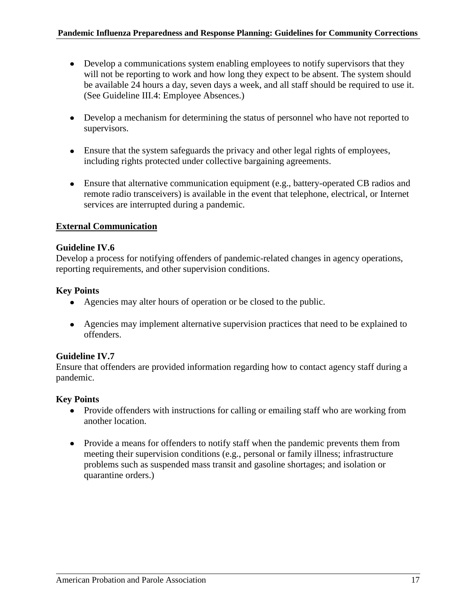- Develop a communications system enabling employees to notify supervisors that they will not be reporting to work and how long they expect to be absent. The system should be available 24 hours a day, seven days a week, and all staff should be required to use it. (See Guideline III.4: Employee Absences.)
- Develop a mechanism for determining the status of personnel who have not reported to supervisors.
- Ensure that the system safeguards the privacy and other legal rights of employees, including rights protected under collective bargaining agreements.
- Ensure that alternative communication equipment (e.g., battery-operated CB radios and remote radio transceivers) is available in the event that telephone, electrical, or Internet services are interrupted during a pandemic.

# **External Communication**

# **Guideline IV.6**

Develop a process for notifying offenders of pandemic-related changes in agency operations, reporting requirements, and other supervision conditions.

# **Key Points**

- Agencies may alter hours of operation or be closed to the public.
- Agencies may implement alternative supervision practices that need to be explained to offenders.

#### **Guideline IV.7**

Ensure that offenders are provided information regarding how to contact agency staff during a pandemic.

- Provide offenders with instructions for calling or emailing staff who are working from another location.
- Provide a means for offenders to notify staff when the pandemic prevents them from meeting their supervision conditions (e.g., personal or family illness; infrastructure problems such as suspended mass transit and gasoline shortages; and isolation or quarantine orders.)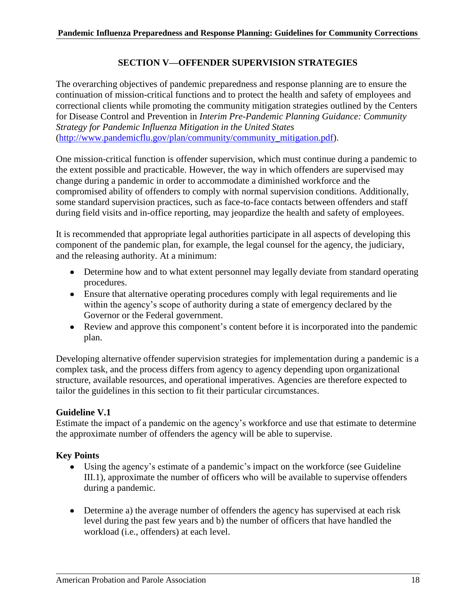# **SECTION V—OFFENDER SUPERVISION STRATEGIES**

The overarching objectives of pandemic preparedness and response planning are to ensure the continuation of mission-critical functions and to protect the health and safety of employees and correctional clients while promoting the community mitigation strategies outlined by the Centers for Disease Control and Prevention in *Interim Pre-Pandemic Planning Guidance: Community Strategy for Pandemic Influenza Mitigation in the United States* [\(http://www.pandemicflu.gov/plan/community/community\\_mitigation.pdf\)](http://www.pandemicflu.gov/plan/community/community_mitigation.pdf).

One mission-critical function is offender supervision, which must continue during a pandemic to the extent possible and practicable. However, the way in which offenders are supervised may change during a pandemic in order to accommodate a diminished workforce and the compromised ability of offenders to comply with normal supervision conditions. Additionally, some standard supervision practices, such as face-to-face contacts between offenders and staff during field visits and in-office reporting, may jeopardize the health and safety of employees.

It is recommended that appropriate legal authorities participate in all aspects of developing this component of the pandemic plan, for example, the legal counsel for the agency, the judiciary, and the releasing authority. At a minimum:

- Determine how and to what extent personnel may legally deviate from standard operating procedures.
- Ensure that alternative operating procedures comply with legal requirements and lie within the agency's scope of authority during a state of emergency declared by the Governor or the Federal government.
- Review and approve this component's content before it is incorporated into the pandemic plan.

Developing alternative offender supervision strategies for implementation during a pandemic is a complex task, and the process differs from agency to agency depending upon organizational structure, available resources, and operational imperatives. Agencies are therefore expected to tailor the guidelines in this section to fit their particular circumstances.

# **Guideline V.1**

Estimate the impact of a pandemic on the agency's workforce and use that estimate to determine the approximate number of offenders the agency will be able to supervise.

- Using the agency's estimate of a pandemic's impact on the workforce (see Guideline III.1), approximate the number of officers who will be available to supervise offenders during a pandemic.
- Determine a) the average number of offenders the agency has supervised at each risk level during the past few years and b) the number of officers that have handled the workload (i.e., offenders) at each level.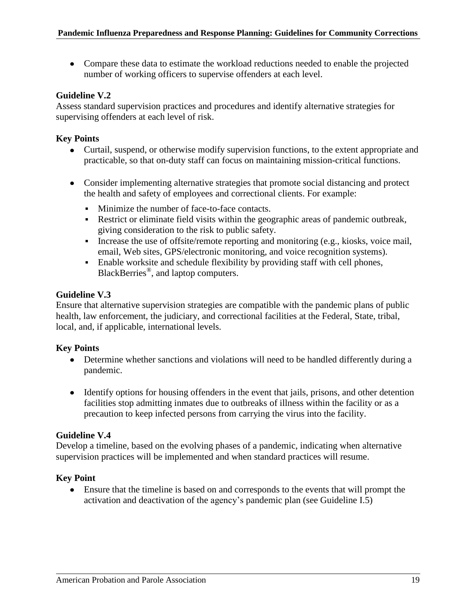Compare these data to estimate the workload reductions needed to enable the projected number of working officers to supervise offenders at each level.

# **Guideline V.2**

Assess standard supervision practices and procedures and identify alternative strategies for supervising offenders at each level of risk.

# **Key Points**

- Curtail, suspend, or otherwise modify supervision functions, to the extent appropriate and practicable, so that on-duty staff can focus on maintaining mission-critical functions.
- Consider implementing alternative strategies that promote social distancing and protect the health and safety of employees and correctional clients. For example:
	- Minimize the number of face-to-face contacts.
	- Restrict or eliminate field visits within the geographic areas of pandemic outbreak, giving consideration to the risk to public safety.
	- **•** Increase the use of offsite/remote reporting and monitoring (e.g., kiosks, voice mail, email, Web sites, GPS/electronic monitoring, and voice recognition systems).
	- Enable worksite and schedule flexibility by providing staff with cell phones, BlackBerries<sup>®</sup>, and laptop computers.

# **Guideline V.3**

Ensure that alternative supervision strategies are compatible with the pandemic plans of public health, law enforcement, the judiciary, and correctional facilities at the Federal, State, tribal, local, and, if applicable, international levels.

# **Key Points**

- Determine whether sanctions and violations will need to be handled differently during a pandemic.
- Identify options for housing offenders in the event that jails, prisons, and other detention facilities stop admitting inmates due to outbreaks of illness within the facility or as a precaution to keep infected persons from carrying the virus into the facility.

#### **Guideline V.4**

Develop a timeline, based on the evolving phases of a pandemic, indicating when alternative supervision practices will be implemented and when standard practices will resume.

# **Key Point**

 $\bullet$ Ensure that the timeline is based on and corresponds to the events that will prompt the activation and deactivation of the agency's pandemic plan (see Guideline I.5)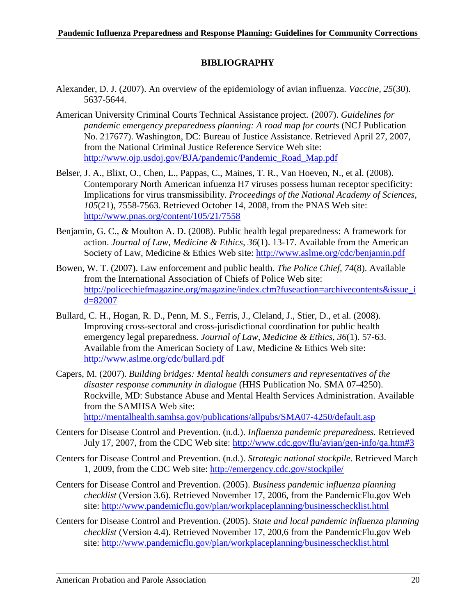# **BIBLIOGRAPHY**

- Alexander, D. J. (2007). An overview of the epidemiology of avian influenza*. Vaccine, 25*(30). 5637-5644.
- American University Criminal Courts Technical Assistance project. (2007). *Guidelines for pandemic emergency preparedness planning: A road map for courts* (NCJ Publication No. 217677). Washington, DC: Bureau of Justice Assistance. Retrieved April 27, 2007, from the National Criminal Justice Reference Service Web site: [http://www.ojp.usdoj.gov/BJA/pandemic/Pandemic\\_Road\\_Map.pdf](http://www.ojp.usdoj.gov/BJA/pandemic/Pandemic_Road_Map.pdf)
- Belser, J. A., Blixt, O., Chen, L., Pappas, C., Maines, T. R., Van Hoeven, N., et al. (2008). Contemporary North American infuenza H7 viruses possess human receptor specificity: Implications for virus transmissibility. *Proceedings of the National Academy of Sciences, 105*(21), 7558-7563. Retrieved October 14, 2008, from the PNAS Web site: <http://www.pnas.org/content/105/21/7558>
- Benjamin, G. C., & Moulton A. D. (2008). Public health legal preparedness: A framework for action. *Journal of Law, Medicine & Ethics, 36*(1). 13-17. Available from the American Society of Law, Medicine & Ethics Web site:<http://www.aslme.org/cdc/benjamin.pdf>
- Bowen, W. T. (2007). Law enforcement and public health. *The Police Chief, 74*(8). Available from the International Association of Chiefs of Police Web site: [http://policechiefmagazine.org/magazine/index.cfm?fuseaction=archivecontents&issue\\_i](http://policechiefmagazine.org/magazine/index.cfm?fuseaction=archivecontents&issue_id=82007) [d=82007](http://policechiefmagazine.org/magazine/index.cfm?fuseaction=archivecontents&issue_id=82007)
- Bullard, C. H., Hogan, R. D., Penn, M. S., Ferris, J., Cleland, J., Stier, D., et al. (2008). Improving cross-sectoral and cross-jurisdictional coordination for public health emergency legal preparedness*. Journal of Law, Medicine & Ethics, 36*(1). 57-63. Available from the American Society of Law, Medicine & Ethics Web site: <http://www.aslme.org/cdc/bullard.pdf>
- Capers, M. (2007). *Building bridges: Mental health consumers and representatives of the disaster response community in dialogue* (HHS Publication No. SMA 07-4250). Rockville, MD: Substance Abuse and Mental Health Services Administration. Available from the SAMHSA Web site:

<http://mentalhealth.samhsa.gov/publications/allpubs/SMA07-4250/default.asp>

- Centers for Disease Control and Prevention. (n.d.). *Influenza pandemic preparedness.* Retrieved July 17, 2007, from the CDC Web site:<http://www.cdc.gov/flu/avian/gen-info/qa.htm#3>
- Centers for Disease Control and Prevention. (n.d.). *Strategic national stockpile.* Retrieved March 1, 2009, from the CDC Web site:<http://emergency.cdc.gov/stockpile/>
- Centers for Disease Control and Prevention. (2005). *Business pandemic influenza planning checklist* (Version 3.6). Retrieved November 17, 2006, from the PandemicFlu.gov Web site:<http://www.pandemicflu.gov/plan/workplaceplanning/businesschecklist.html>
- Centers for Disease Control and Prevention. (2005). *State and local pandemic influenza planning checklist* (Version 4.4). Retrieved November 17, 200,6 from the PandemicFlu.gov Web site:<http://www.pandemicflu.gov/plan/workplaceplanning/businesschecklist.html>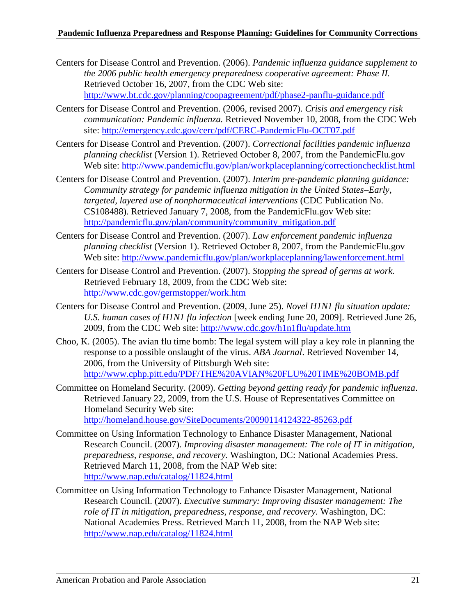- Centers for Disease Control and Prevention. (2006). *Pandemic influenza guidance supplement to the 2006 public health emergency preparedness cooperative agreement: Phase II.*  Retrieved October 16, 2007, from the CDC Web site: <http://www.bt.cdc.gov/planning/coopagreement/pdf/phase2-panflu-guidance.pdf>
- Centers for Disease Control and Prevention. (2006, revised 2007). *Crisis and emergency risk communication: Pandemic influenza.* Retrieved November 10, 2008, from the CDC Web site:<http://emergency.cdc.gov/cerc/pdf/CERC-PandemicFlu-OCT07.pdf>
- Centers for Disease Control and Prevention. (2007). *Correctional facilities pandemic influenza planning checklist* (Version 1). Retrieved October 8, 2007, from the PandemicFlu.gov Web site:<http://www.pandemicflu.gov/plan/workplaceplanning/correctionchecklist.html>
- Centers for Disease Control and Prevention. (2007). *Interim pre-pandemic planning guidance: Community strategy for pandemic influenza mitigation in the United States–Early, targeted, layered use of nonpharmaceutical interventions* (CDC Publication No. CS108488). Retrieved January 7, 2008, from the PandemicFlu.gov Web site: [http://pandemicflu.gov/plan/community/community\\_mitigation.pdf](http://pandemicflu.gov/plan/community/community_mitigation.pdf)
- Centers for Disease Control and Prevention. (2007). *Law enforcement pandemic influenza planning checklist* (Version 1). Retrieved October 8, 2007, from the PandemicFlu.gov Web site:<http://www.pandemicflu.gov/plan/workplaceplanning/lawenforcement.html>
- Centers for Disease Control and Prevention. (2007). *Stopping the spread of germs at work.* Retrieved February 18, 2009, from the CDC Web site: <http://www.cdc.gov/germstopper/work.htm>
- Centers for Disease Control and Prevention. (2009, June 25). *Novel H1N1 flu situation update: U.S. human cases of H1N1 flu infection* [week ending June 20, 2009]. Retrieved June 26, 2009, from the CDC Web site:<http://www.cdc.gov/h1n1flu/update.htm>
- Choo, K. (2005). The avian flu time bomb: The legal system will play a key role in planning the response to a possible onslaught of the virus. *ABA Journal*. Retrieved November 14, 2006, from the University of Pittsburgh Web site: <http://www.cphp.pitt.edu/PDF/THE%20AVIAN%20FLU%20TIME%20BOMB.pdf>
- Committee on Homeland Security. (2009). *Getting beyond getting ready for pandemic influenza*. Retrieved January 22, 2009, from the U.S. House of Representatives Committee on Homeland Security Web site: <http://homeland.house.gov/SiteDocuments/20090114124322-85263.pdf>
- Committee on Using Information Technology to Enhance Disaster Management, National Research Council. (2007). *Improving disaster management: The role of IT in mitigation, preparedness, response, and recovery.* Washington, DC: National Academies Press. Retrieved March 11, 2008, from the NAP Web site: <http://www.nap.edu/catalog/11824.html>
- Committee on Using Information Technology to Enhance Disaster Management, National Research Council. (2007). *Executive summary: Improving disaster management: The role of IT in mitigation, preparedness, response, and recovery.* Washington, DC: National Academies Press. Retrieved March 11, 2008, from the NAP Web site: <http://www.nap.edu/catalog/11824.html>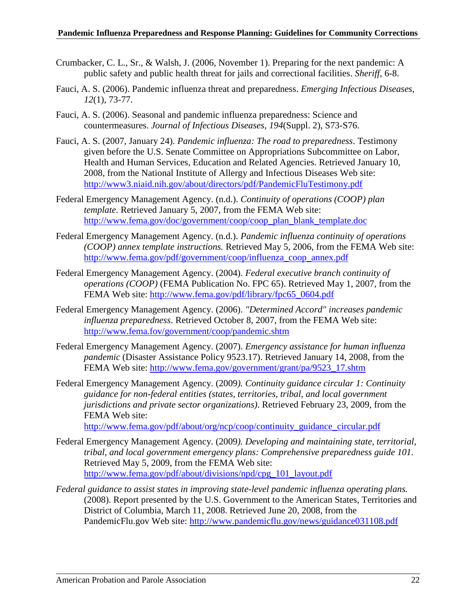- Crumbacker, C. L., Sr., & Walsh, J. (2006, November 1). Preparing for the next pandemic: A public safety and public health threat for jails and correctional facilities. *Sheriff,* 6-8.
- Fauci, A. S. (2006). Pandemic influenza threat and preparedness. *Emerging Infectious Diseases, 12*(1), 73-77.
- Fauci, A. S. (2006). Seasonal and pandemic influenza preparedness: Science and countermeasures. *Journal of Infectious Diseases, 194*(Suppl. 2), S73-S76.
- Fauci, A. S. (2007, January 24). *Pandemic influenza: The road to preparedness*. Testimony given before the U.S. Senate Committee on Appropriations Subcommittee on Labor, Health and Human Services, Education and Related Agencies. Retrieved January 10, 2008, from the National Institute of Allergy and Infectious Diseases Web site: <http://www3.niaid.nih.gov/about/directors/pdf/PandemicFluTestimony.pdf>
- Federal Emergency Management Agency. (n.d.). *Continuity of operations (COOP) plan template.* Retrieved January 5, 2007, from the FEMA Web site: [http://www.fema.gov/doc/government/coop/coop\\_plan\\_blank\\_template.doc](http://www.fema.gov/doc/government/coop/coop_plan_blank_template.doc)
- Federal Emergency Management Agency. (n.d.). *Pandemic influenza continuity of operations (COOP) annex template instructions.* Retrieved May 5, 2006, from the FEMA Web site: [http://www.fema.gov/pdf/government/coop/influenza\\_coop\\_annex.pdf](http://www.fema.gov/pdf/government/coop/influenza_coop_annex.pdf)
- Federal Emergency Management Agency. (2004). *Federal executive branch continuity of operations (COOP)* (FEMA Publication No. FPC 65). Retrieved May 1, 2007, from the FEMA Web site: [http://www.fema.gov/pdf/library/fpc65\\_0604.pdf](http://www.fema.gov/pdf/library/fpc65_0604.pdf)
- Federal Emergency Management Agency. (2006). *"Determined Accord" increases pandemic influenza preparedness*. Retrieved October 8, 2007, from the FEMA Web site: <http://www.fema.fov/government/coop/pandemic.shtm>
- Federal Emergency Management Agency. (2007). *Emergency assistance for human influenza pandemic* (Disaster Assistance Policy 9523.17). Retrieved January 14, 2008, from the FEMA Web site: [http://www.fema.gov/government/grant/pa/9523\\_17.shtm](http://www.fema.gov/government/grant/pa/9523_17.shtm)
- Federal Emergency Management Agency. (2009*). Continuity guidance circular 1: Continuity guidance for non-federal entities (states, territories, tribal, and local government jurisdictions and private sector organizations)*. Retrieved February 23, 2009, from the FEMA Web site:

[http://www.fema.gov/pdf/about/org/ncp/coop/continuity\\_guidance\\_circular.pdf](http://www.fema.gov/pdf/about/org/ncp/coop/continuity_guidance_circular.pdf)

- Federal Emergency Management Agency. (2009*). Developing and maintaining state, territorial, tribal, and local government emergency plans: Comprehensive preparedness guide 101.* Retrieved May 5, 2009, from the FEMA Web site: [http://www.fema.gov/pdf/about/divisions/npd/cpg\\_101\\_layout.pdf](http://www.fema.gov/pdf/about/divisions/npd/cpg_101_layout.pdf)
- *Federal guidance to assist states in improving state-level pandemic influenza operating plans.* (2008). Report presented by the U.S. Government to the American States, Territories and District of Columbia, March 11, 2008. Retrieved June 20, 2008, from the PandemicFlu.gov Web site:<http://www.pandemicflu.gov/news/guidance031108.pdf>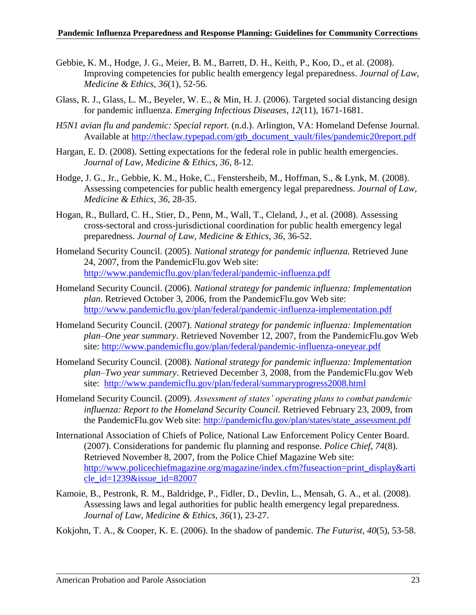- Gebbie, K. M., Hodge, J. G., Meier, B. M., Barrett, D. H., Keith, P., Koo, D., et al. (2008). Improving competencies for public health emergency legal preparedness. *Journal of Law, Medicine & Ethics, 36*(1), 52-56.
- Glass, R. J., Glass, L. M., Beyeler, W. E., & Min, H. J. (2006). Targeted social distancing design for pandemic influenza. *Emerging Infectious Diseases, 12*(11), 1671-1681.
- *H5N1 avian flu and pandemic: Special report.* (n.d.). Arlington, VA: Homeland Defense Journal. Available at [http://theclaw.typepad.com/gtb\\_document\\_vault/files/pandemic20report.pdf](http://theclaw.typepad.com/gtb_document_vault/files/pandemic20report.pdf)
- Hargan, E. D. (2008). Setting expectations for the federal role in public health emergencies. *Journal of Law, Medicine & Ethics, 36*, 8-12.
- Hodge, J. G., Jr., Gebbie, K. M., Hoke, C., Fenstersheib, M., Hoffman, S., & Lynk, M. (2008). Assessing competencies for public health emergency legal preparedness. *Journal of Law, Medicine & Ethics, 36,* 28-35.
- Hogan, R., Bullard, C. H., Stier, D., Penn, M., Wall, T., Cleland, J., et al. (2008). Assessing cross-sectoral and cross-jurisdictional coordination for public health emergency legal preparedness. *Journal of Law, Medicine & Ethics*, *36*, 36-52.
- Homeland Security Council. (2005). *National strategy for pandemic influenza.* Retrieved June 24, 2007, from the PandemicFlu.gov Web site: <http://www.pandemicflu.gov/plan/federal/pandemic-influenza.pdf>
- Homeland Security Council. (2006). *National strategy for pandemic influenza: Implementation plan*. Retrieved October 3, 2006, from the PandemicFlu.gov Web site: <http://www.pandemicflu.gov/plan/federal/pandemic-influenza-implementation.pdf>
- Homeland Security Council. (2007). *National strategy for pandemic influenza: Implementation plan–One year summary*. Retrieved November 12, 2007, from the PandemicFlu.gov Web site:<http://www.pandemicflu.gov/plan/federal/pandemic-influenza-oneyear.pdf>
- Homeland Security Council. (2008). *National strategy for pandemic influenza: Implementation plan–Two year summary*. Retrieved December 3, 2008, from the PandemicFlu.gov Web site: <http://www.pandemicflu.gov/plan/federal/summaryprogress2008.html>
- Homeland Security Council. (2009). *Assessment of states' operating plans to combat pandemic influenza: Report to the Homeland Security Council.* Retrieved February 23, 2009, from the PandemicFlu.gov Web site: [http://pandemicflu.gov/plan/states/state\\_assessment.pdf](http://pandemicflu.gov/plan/states/state_assessment.pdf)
- International Association of Chiefs of Police, National Law Enforcement Policy Center Board. (2007). Considerations for pandemic flu planning and response. *Police Chief, 74*(8). Retrieved November 8, 2007, from the Police Chief Magazine Web site: [http://www.policechiefmagazine.org/magazine/index.cfm?fuseaction=print\\_display&arti](http://www.policechiefmagazine.org/magazine/index.cfm?fuseaction=print_display&article_id=1239&issue_id=82007) [cle\\_id=1239&issue\\_id=82007](http://www.policechiefmagazine.org/magazine/index.cfm?fuseaction=print_display&article_id=1239&issue_id=82007)
- Kamoie, B., Pestronk, R. M., Baldridge, P., Fidler, D., Devlin, L., Mensah, G. A., et al. (2008). Assessing laws and legal authorities for public health emergency legal preparedness. *Journal of Law, Medicine & Ethics, 36*(1), 23-27.

Kokjohn, T. A., & Cooper, K. E. (2006). In the shadow of pandemic. *The Futurist, 40*(5), 53-58.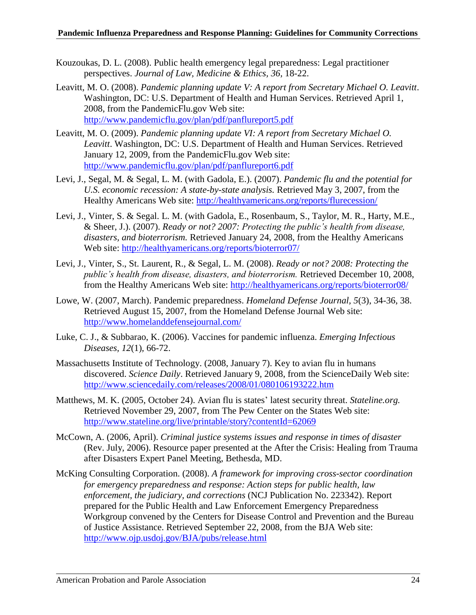- Kouzoukas, D. L. (2008). Public health emergency legal preparedness: Legal practitioner perspectives. *Journal of Law, Medicine & Ethics, 36,* 18-22.
- Leavitt, M. O. (2008). *Pandemic planning update V: A report from Secretary Michael O. Leavitt*. Washington, DC: U.S. Department of Health and Human Services. Retrieved April 1, 2008, from the PandemicFlu.gov Web site: <http://www.pandemicflu.gov/plan/pdf/panflureport5.pdf>
- Leavitt, M. O. (2009). *Pandemic planning update VI: A report from Secretary Michael O. Leavitt*. Washington, DC: U.S. Department of Health and Human Services. Retrieved January 12, 2009, from the PandemicFlu.gov Web site: <http://www.pandemicflu.gov/plan/pdf/panflureport6.pdf>
- Levi, J., Segal, M. & Segal, L. M. (with Gadola, E.). (2007). *Pandemic flu and the potential for U.S. economic recession: A state-by-state analysis.* Retrieved May 3, 2007, from the Healthy Americans Web site: <http://healthyamericans.org/reports/flurecession/>
- Levi, J., Vinter, S. & Segal. L. M. (with Gadola, E., Rosenbaum, S., Taylor, M. R., Harty, M.E., & Sheer, J.). (2007). *Ready or not? 2007: Protecting the public's health from disease, disasters, and bioterrorism.* Retrieved January 24, 2008, from the Healthy Americans Web site: <http://healthyamericans.org/reports/bioterror07/>
- Levi, J., Vinter, S., St. Laurent, R., & Segal, L. M. (2008). *Ready or not? 2008: Protecting the public's health from disease, disasters, and bioterrorism.* Retrieved December 10, 2008, from the Healthy Americans Web site:<http://healthyamericans.org/reports/bioterror08/>
- Lowe, W. (2007, March). Pandemic preparedness. *Homeland Defense Journal, 5*(3), 34-36, 38. Retrieved August 15, 2007, from the Homeland Defense Journal Web site: <http://www.homelanddefensejournal.com/>
- Luke, C. J., & Subbarao, K. (2006). Vaccines for pandemic influenza. *Emerging Infectious Diseases, 12*(1)*,* 66-72.
- Massachusetts Institute of Technology. (2008, January 7). Key to avian flu in humans discovered. *Science Daily*. Retrieved January 9, 2008, from the ScienceDaily Web site: <http://www.sciencedaily.com/releases/2008/01/080106193222.htm>
- Matthews, M. K. (2005, October 24). Avian flu is states' latest security threat. *Stateline.org.* Retrieved November 29, 2007, from The Pew Center on the States Web site: <http://www.stateline.org/live/printable/story?contentId=62069>
- McCown, A. (2006, April). *Criminal justice systems issues and response in times of disaster* (Rev. July, 2006). Resource paper presented at the After the Crisis: Healing from Trauma after Disasters Expert Panel Meeting, Bethesda, MD.
- McKing Consulting Corporation. (2008). *A framework for improving cross-sector coordination for emergency preparedness and response: Action steps for public health, law enforcement, the judiciary, and corrections* (NCJ Publication No. 223342). Report prepared for the Public Health and Law Enforcement Emergency Preparedness Workgroup convened by the Centers for Disease Control and Prevention and the Bureau of Justice Assistance. Retrieved September 22, 2008, from the BJA Web site: <http://www.ojp.usdoj.gov/BJA/pubs/release.html>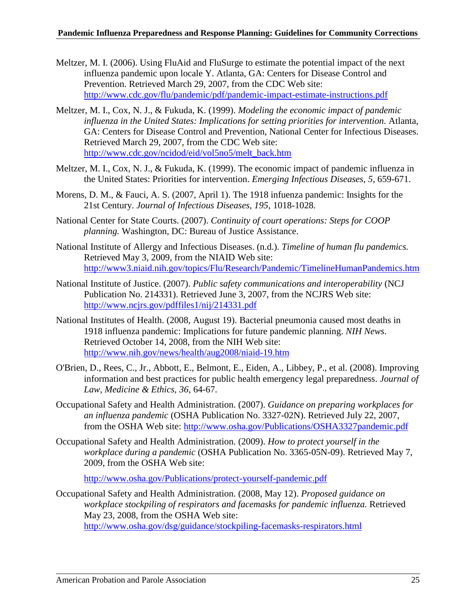- Meltzer, M. I. (2006). Using FluAid and FluSurge to estimate the potential impact of the next influenza pandemic upon locale Y. Atlanta, GA: Centers for Disease Control and Prevention. Retrieved March 29, 2007, from the CDC Web site: <http://www.cdc.gov/flu/pandemic/pdf/pandemic-impact-estimate-instructions.pdf>
- Meltzer, M. I., Cox, N. J., & Fukuda, K. (1999). *Modeling the economic impact of pandemic influenza in the United States: Implications for setting priorities for intervention.* Atlanta, GA: Centers for Disease Control and Prevention, National Center for Infectious Diseases. Retrieved March 29, 2007, from the CDC Web site: [http://www.cdc.gov/ncidod/eid/vol5no5/melt\\_back.htm](http://www.cdc.gov/ncidod/eid/vol5no5/melt_back.htm)
- Meltzer, M. I., Cox, N. J., & Fukuda, K. (1999). The economic impact of pandemic influenza in the United States: Priorities for intervention. *Emerging Infectious Diseases*, *5*, 659-671.
- Morens, D. M., & Fauci, A. S. (2007, April 1). The 1918 infuenza pandemic: Insights for the 21st Century. *Journal of Infectious Diseases, 195*, 1018-1028.
- National Center for State Courts. (2007). *Continuity of court operations: Steps for COOP planning.* Washington, DC: Bureau of Justice Assistance.
- National Institute of Allergy and Infectious Diseases. (n.d.). *Timeline of human flu pandemics.* Retrieved May 3, 2009, from the NIAID Web site: <http://www3.niaid.nih.gov/topics/Flu/Research/Pandemic/TimelineHumanPandemics.htm>
- National Institute of Justice. (2007). *Public safety communications and interoperability* (NCJ Publication No. 214331). Retrieved June 3, 2007, from the NCJRS Web site: <http://www.ncjrs.gov/pdffiles1/nij/214331.pdf>
- National Institutes of Health. (2008, August 19). Bacterial pneumonia caused most deaths in 1918 influenza pandemic: Implications for future pandemic planning. *NIH News.* Retrieved October 14, 2008, from the NIH Web site: <http://www.nih.gov/news/health/aug2008/niaid-19.htm>
- O'Brien, D., Rees, C., Jr., Abbott, E., Belmont, E., Eiden, A., Libbey, P., et al. (2008). Improving information and best practices for public health emergency legal preparedness. *Journal of Law, Medicine & Ethics, 36*, 64-67.
- Occupational Safety and Health Administration. (2007). *Guidance on preparing workplaces for an influenza pandemic* (OSHA Publication No. 3327-02N). Retrieved July 22, 2007, from the OSHA Web site:<http://www.osha.gov/Publications/OSHA3327pandemic.pdf>
- Occupational Safety and Health Administration. (2009). *How to protect yourself in the workplace during a pandemic* (OSHA Publication No. 3365-05N-09). Retrieved May 7, 2009, from the OSHA Web site:

<http://www.osha.gov/Publications/protect-yourself-pandemic.pdf>

Occupational Safety and Health Administration. (2008, May 12). *Proposed guidance on workplace stockpiling of respirators and facemasks for pandemic influenza.* Retrieved May 23, 2008, from the OSHA Web site: <http://www.osha.gov/dsg/guidance/stockpiling-facemasks-respirators.html>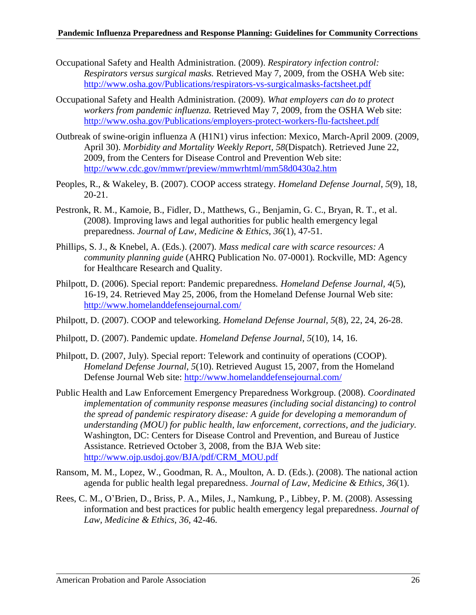- Occupational Safety and Health Administration. (2009). *Respiratory infection control: Respirators versus surgical masks.* Retrieved May 7, 2009, from the OSHA Web site: <http://www.osha.gov/Publications/respirators-vs-surgicalmasks-factsheet.pdf>
- Occupational Safety and Health Administration. (2009). *What employers can do to protect workers from pandemic influenza.* Retrieved May 7, 2009, from the OSHA Web site: <http://www.osha.gov/Publications/employers-protect-workers-flu-factsheet.pdf>
- Outbreak of swine-origin influenza A (H1N1) virus infection: Mexico, March-April 2009. (2009, April 30). *Morbidity and Mortality Weekly Report, 58*(Dispatch). Retrieved June 22, 2009, from the Centers for Disease Control and Prevention Web site: <http://www.cdc.gov/mmwr/preview/mmwrhtml/mm58d0430a2.htm>
- Peoples, R., & Wakeley, B. (2007). COOP access strategy. *Homeland Defense Journal*, *5*(9), 18, 20-21.
- Pestronk, R. M., Kamoie, B., Fidler, D., Matthews, G., Benjamin, G. C., Bryan, R. T., et al. (2008). Improving laws and legal authorities for public health emergency legal preparedness. *Journal of Law, Medicine & Ethics, 36*(1), 47-51.
- Phillips, S. J., & Knebel, A. (Eds.). (2007). *Mass medical care with scarce resources: A community planning guide* (AHRQ Publication No. 07-0001)*.* Rockville, MD: Agency for Healthcare Research and Quality.
- Philpott, D. (2006). Special report: Pandemic preparedness*. Homeland Defense Journal, 4*(5), 16-19, 24. Retrieved May 25, 2006, from the Homeland Defense Journal Web site: <http://www.homelanddefensejournal.com/>
- Philpott, D. (2007). COOP and teleworking. *Homeland Defense Journal, 5*(8), 22, 24, 26-28.
- Philpott, D. (2007). Pandemic update. *Homeland Defense Journal*, *5*(10), 14, 16.
- Philpott, D. (2007, July). Special report: Telework and continuity of operations (COOP). *Homeland Defense Journal, 5*(10). Retrieved August 15, 2007, from the Homeland Defense Journal Web site:<http://www.homelanddefensejournal.com/>
- Public Health and Law Enforcement Emergency Preparedness Workgroup. (2008). *Coordinated implementation of community response measures (including social distancing) to control the spread of pandemic respiratory disease: A guide for developing a memorandum of understanding (MOU) for public health, law enforcement, corrections, and the judiciary.* Washington, DC: Centers for Disease Control and Prevention, and Bureau of Justice Assistance. Retrieved October 3, 2008, from the BJA Web site: [http://www.ojp.usdoj.gov/BJA/pdf/CRM\\_MOU.pdf](http://www.ojp.usdoj.gov/BJA/pdf/CRM_MOU.pdf)
- Ransom, M. M., Lopez, W., Goodman, R. A., Moulton, A. D. (Eds.). (2008). The national action agenda for public health legal preparedness. *Journal of Law, Medicine & Ethics, 36*(1).
- Rees, C. M., O'Brien, D., Briss, P. A., Miles, J., Namkung, P., Libbey, P. M. (2008). Assessing information and best practices for public health emergency legal preparedness. *Journal of Law, Medicine & Ethics, 36,* 42-46.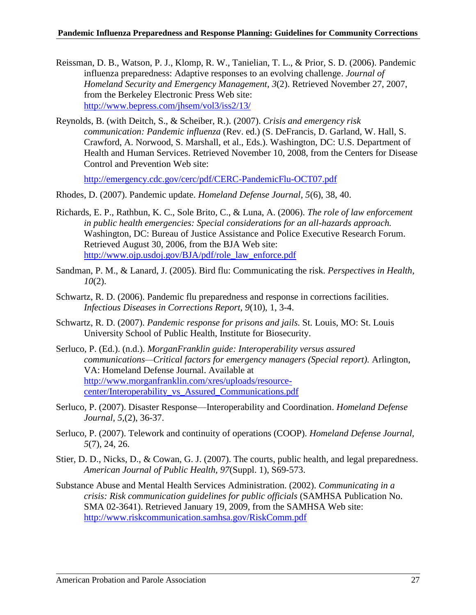- Reissman, D. B., Watson, P. J., Klomp, R. W., Tanielian, T. L., & Prior, S. D. (2006). Pandemic influenza preparedness: Adaptive responses to an evolving challenge. *Journal of Homeland Security and Emergency Management, 3*(2). Retrieved November 27, 2007, from the Berkeley Electronic Press Web site: <http://www.bepress.com/jhsem/vol3/iss2/13/>
- Reynolds, B. (with Deitch, S., & Scheiber, R.). (2007). *Crisis and emergency risk communication: Pandemic influenza* (Rev. ed.) (S. DeFrancis, D. Garland, W. Hall, S. Crawford, A. Norwood, S. Marshall, et al., Eds.). Washington, DC: U.S. Department of Health and Human Services. Retrieved November 10, 2008, from the Centers for Disease Control and Prevention Web site:

<http://emergency.cdc.gov/cerc/pdf/CERC-PandemicFlu-OCT07.pdf>

- Rhodes, D. (2007). Pandemic update. *Homeland Defense Journal, 5*(6), 38, 40.
- Richards, E. P., Rathbun, K. C., Sole Brito, C., & Luna, A. (2006). *The role of law enforcement in public health emergencies: Special considerations for an all-hazards approach.* Washington, DC: Bureau of Justice Assistance and Police Executive Research Forum. Retrieved August 30, 2006, from the BJA Web site: [http://www.ojp.usdoj.gov/BJA/pdf/role\\_law\\_enforce.pdf](http://www.ojp.usdoj.gov/BJA/pdf/role_law_enforce.pdf)
- Sandman, P. M., & Lanard, J. (2005). Bird flu: Communicating the risk. *Perspectives in Health, 10*(2).
- Schwartz, R. D. (2006). Pandemic flu preparedness and response in corrections facilities. *Infectious Diseases in Corrections Report, 9*(10), 1, 3-4.
- Schwartz, R. D. (2007). *Pandemic response for prisons and jails.* St. Louis, MO: St. Louis University School of Public Health, Institute for Biosecurity.
- Serluco, P. (Ed.). (n.d.). *MorganFranklin guide: Interoperability versus assured communications—Critical factors for emergency managers (Special report).* Arlington, VA: Homeland Defense Journal. Available at [http://www.morganfranklin.com/xres/uploads/resource](http://www.morganfranklin.com/xres/uploads/resource-center/Interoperability_vs_Assured_Communications.pdf)[center/Interoperability\\_vs\\_Assured\\_Communications.pdf](http://www.morganfranklin.com/xres/uploads/resource-center/Interoperability_vs_Assured_Communications.pdf)
- Serluco, P. (2007). Disaster Response—Interoperability and Coordination. *Homeland Defense Journal, 5,*(2), 36-37.
- Serluco, P. (2007). Telework and continuity of operations (COOP). *Homeland Defense Journal, 5*(7), 24, 26.
- Stier, D. D., Nicks, D., & Cowan, G. J. (2007). The courts, public health, and legal preparedness. *American Journal of Public Health, 97*(Suppl. 1), S69-573.
- Substance Abuse and Mental Health Services Administration. (2002). *Communicating in a crisis: Risk communication guidelines for public officials* (SAMHSA Publication No. SMA 02-3641). Retrieved January 19, 2009, from the SAMHSA Web site: <http://www.riskcommunication.samhsa.gov/RiskComm.pdf>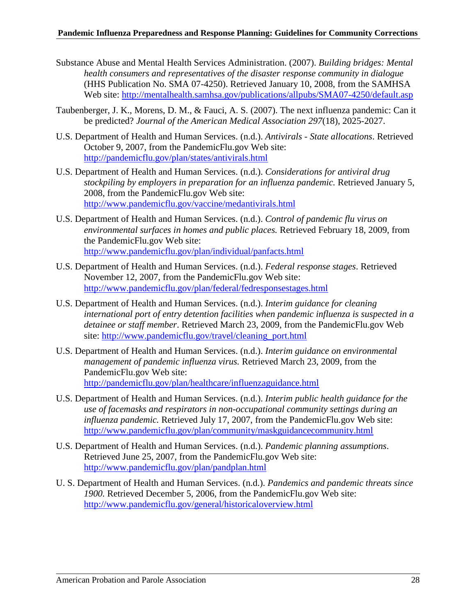#### **Pandemic Influenza Preparedness and Response Planning: Guidelines for Community Corrections**

- Substance Abuse and Mental Health Services Administration. (2007). *Building bridges: Mental health consumers and representatives of the disaster response community in dialogue*  (HHS Publication No. SMA 07-4250). Retrieved January 10, 2008, from the SAMHSA Web site:<http://mentalhealth.samhsa.gov/publications/allpubs/SMA07-4250/default.asp>
- Taubenberger, J. K., Morens, D. M., & Fauci, A. S. (2007). The next influenza pandemic: Can it be predicted? *Journal of the American Medical Association 297*(18), 2025-2027.
- U.S. Department of Health and Human Services. (n.d.). *Antivirals - State allocations*. Retrieved October 9, 2007, from the PandemicFlu.gov Web site: <http://pandemicflu.gov/plan/states/antivirals.html>
- U.S. Department of Health and Human Services. (n.d.). *Considerations for antiviral drug stockpiling by employers in preparation for an influenza pandemic.* Retrieved January 5, 2008, from the PandemicFlu.gov Web site: <http://www.pandemicflu.gov/vaccine/medantivirals.html>
- U.S. Department of Health and Human Services. (n.d.). *Control of pandemic flu virus on environmental surfaces in homes and public places.* Retrieved February 18, 2009, from the PandemicFlu.gov Web site: <http://www.pandemicflu.gov/plan/individual/panfacts.html>
- U.S. Department of Health and Human Services. (n.d.). *Federal response stages*. Retrieved November 12, 2007, from the PandemicFlu.gov Web site: <http://www.pandemicflu.gov/plan/federal/fedresponsestages.html>
- U.S. Department of Health and Human Services. (n.d.). *Interim guidance for cleaning international port of entry detention facilities when pandemic influenza is suspected in a detainee or staff member*. Retrieved March 23, 2009, from the PandemicFlu.gov Web site: [http://www.pandemicflu.gov/travel/cleaning\\_port.html](http://www.pandemicflu.gov/travel/cleaning_port.html)
- U.S. Department of Health and Human Services. (n.d.). *Interim guidance on environmental management of pandemic influenza virus.* Retrieved March 23, 2009, from the PandemicFlu.gov Web site: <http://pandemicflu.gov/plan/healthcare/influenzaguidance.html>
- U.S. Department of Health and Human Services. (n.d.). *Interim public health guidance for the use of facemasks and respirators in non-occupational community settings during an influenza pandemic.* Retrieved July 17, 2007, from the PandemicFlu.gov Web site: <http://www.pandemicflu.gov/plan/community/maskguidancecommunity.html>
- U.S. Department of Health and Human Services. (n.d.). *Pandemic planning assumptions*. Retrieved June 25, 2007, from the PandemicFlu.gov Web site: <http://www.pandemicflu.gov/plan/pandplan.html>
- U. S. Department of Health and Human Services. (n.d.). *Pandemics and pandemic threats since 1900.* Retrieved December 5, 2006, from the PandemicFlu.gov Web site: <http://www.pandemicflu.gov/general/historicaloverview.html>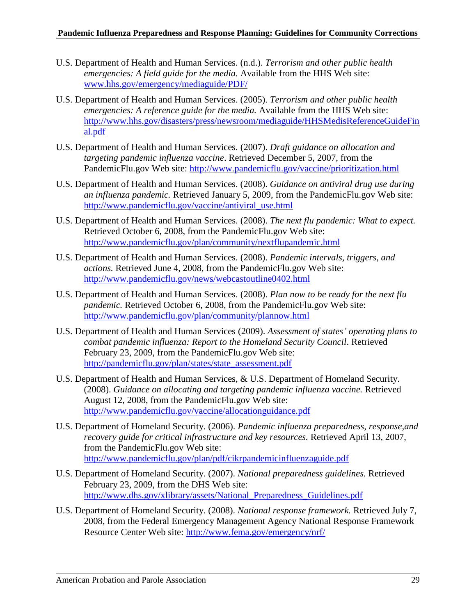- U.S. Department of Health and Human Services. (n.d.). *Terrorism and other public health emergencies: A field guide for the media.* Available from the HHS Web site: [www.hhs.gov/emergency/mediaguide/PDF/](http://www.hhs.gov/emergency/mediaguide/PDF/)
- U.S. Department of Health and Human Services. (2005). *Terrorism and other public health emergencies: A reference guide for the media.* Available from the HHS Web site: [http://www.hhs.gov/disasters/press/newsroom/mediaguide/HHSMedisReferenceGuideFin](http://www.hhs.gov/disasters/press/newsroom/mediaguide/HHSMedisReferenceGuideFinal.pdf) [al.pdf](http://www.hhs.gov/disasters/press/newsroom/mediaguide/HHSMedisReferenceGuideFinal.pdf)
- U.S. Department of Health and Human Services. (2007). *Draft guidance on allocation and targeting pandemic influenza vaccine*. Retrieved December 5, 2007, from the PandemicFlu.gov Web site:<http://www.pandemicflu.gov/vaccine/prioritization.html>
- U.S. Department of Health and Human Services. (2008). *Guidance on antiviral drug use during an influenza pandemic.* Retrieved January 5, 2009, from the PandemicFlu.gov Web site: [http://www.pandemicflu.gov/vaccine/antiviral\\_use.html](http://www.pandemicflu.gov/vaccine/antiviral_use.html)
- U.S. Department of Health and Human Services. (2008). *The next flu pandemic: What to expect.* Retrieved October 6, 2008, from the PandemicFlu.gov Web site: <http://www.pandemicflu.gov/plan/community/nextflupandemic.html>
- U.S. Department of Health and Human Services. (2008). *Pandemic intervals, triggers, and actions.* Retrieved June 4, 2008, from the PandemicFlu.gov Web site: <http://www.pandemicflu.gov/news/webcastoutline0402.html>
- U.S. Department of Health and Human Services. (2008). *Plan now to be ready for the next flu pandemic.* Retrieved October 6, 2008, from the PandemicFlu.gov Web site: <http://www.pandemicflu.gov/plan/community/plannow.html>
- U.S. Department of Health and Human Services (2009). *Assessment of states' operating plans to combat pandemic influenza: Report to the Homeland Security Council*. Retrieved February 23, 2009, from the PandemicFlu.gov Web site: [http://pandemicflu.gov/plan/states/state\\_assessment.pdf](http://pandemicflu.gov/plan/states/state_assessment.pdf)
- U.S. Department of Health and Human Services, & U.S. Department of Homeland Security. (2008). *Guidance on allocating and targeting pandemic influenza vaccine.* Retrieved August 12, 2008, from the PandemicFlu.gov Web site: <http://www.pandemicflu.gov/vaccine/allocationguidance.pdf>
- U.S. Department of Homeland Security. (2006). *Pandemic influenza preparedness, response,and recovery guide for critical infrastructure and key resources.* Retrieved April 13, 2007, from the PandemicFlu.gov Web site: <http://www.pandemicflu.gov/plan/pdf/cikrpandemicinfluenzaguide.pdf>
- U.S. Department of Homeland Security. (2007). *National preparedness guidelines.* Retrieved February 23, 2009, from the DHS Web site: [http://www.dhs.gov/xlibrary/assets/National\\_Preparedness\\_Guidelines.pdf](http://www.dhs.gov/xlibrary/assets/National_Preparedness_Guidelines.pdf)
- U.S. Department of Homeland Security. (2008). *National response framework.* Retrieved July 7, 2008, from the Federal Emergency Management Agency National Response Framework Resource Center Web site:<http://www.fema.gov/emergency/nrf/>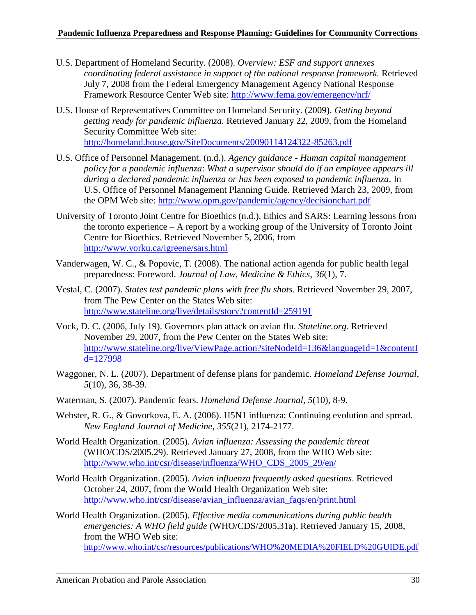- U.S. Department of Homeland Security. (2008). *Overview: ESF and support annexes coordinating federal assistance in support of the national response framework.* Retrieved July 7, 2008 from the Federal Emergency Management Agency National Response Framework Resource Center Web site:<http://www.fema.gov/emergency/nrf/>
- U.S. House of Representatives Committee on Homeland Security. (2009). *Getting beyond getting ready for pandemic influenza.* Retrieved January 22, 2009, from the Homeland Security Committee Web site: <http://homeland.house.gov/SiteDocuments/20090114124322-85263.pdf>
- U.S. Office of Personnel Management. (n.d.). *Agency guidance - Human capital management policy for a pandemic influenza*: *What a supervisor should do if an employee appears ill during a declared pandemic influenza or has been exposed to pandemic influenza*. In U.S. Office of Personnel Management Planning Guide. Retrieved March 23, 2009, from the OPM Web site:<http://www.opm.gov/pandemic/agency/decisionchart.pdf>
- University of Toronto Joint Centre for Bioethics (n.d.). Ethics and SARS: Learning lessons from the toronto experience – A report by a working group of the University of Toronto Joint Centre for Bioethics. Retrieved November 5, 2006, from <http://www.yorku.ca/igreene/sars.html>
- Vanderwagen, W. C., & Popovic, T. (2008). The national action agenda for public health legal preparedness: Foreword. *Journal of Law, Medicine & Ethics*, *36*(1), 7.
- Vestal, C. (2007). *States test pandemic plans with free flu shots*. Retrieved November 29, 2007, from The Pew Center on the States Web site: <http://www.stateline.org/live/details/story?contentId=259191>
- Vock, D. C. (2006, July 19). Governors plan attack on avian flu. *Stateline.org.* Retrieved November 29, 2007, from the Pew Center on the States Web site: [http://www.stateline.org/live/ViewPage.action?siteNodeId=136&languageId=1&contentI](http://www.stateline.org/live/ViewPage.action?siteNodeId=136&languageId=1&contentId=127998) [d=127998](http://www.stateline.org/live/ViewPage.action?siteNodeId=136&languageId=1&contentId=127998)
- Waggoner, N. L. (2007). Department of defense plans for pandemic. *Homeland Defense Journal, 5*(10), 36, 38-39.
- Waterman, S. (2007). Pandemic fears. *Homeland Defense Journal, 5*(10), 8-9.
- Webster, R. G., & Govorkova, E. A. (2006). H5N1 influenza: Continuing evolution and spread. *New England Journal of Medicine, 355*(21), 2174-2177.
- World Health Organization. (2005). *Avian influenza: Assessing the pandemic threat* (WHO/CDS/2005.29). Retrieved January 27, 2008, from the WHO Web site: [http://www.who.int/csr/disease/influenza/WHO\\_CDS\\_2005\\_29/en/](http://www.who.int/csr/disease/influenza/WHO_CDS_2005_29/en/)
- World Health Organization. (2005). *Avian influenza frequently asked questions*. Retrieved October 24, 2007, from the World Health Organization Web site: [http://www.who.int/csr/disease/avian\\_influenza/avian\\_faqs/en/print.html](http://www.who.int/csr/disease/avian_influenza/avian_faqs/en/print.html)
- World Health Organization. (2005). *Effective media communications during public health emergencies: A WHO field guide* (WHO/CDS/2005.31a). Retrieved January 15, 2008, from the WHO Web site: <http://www.who.int/csr/resources/publications/WHO%20MEDIA%20FIELD%20GUIDE.pdf>